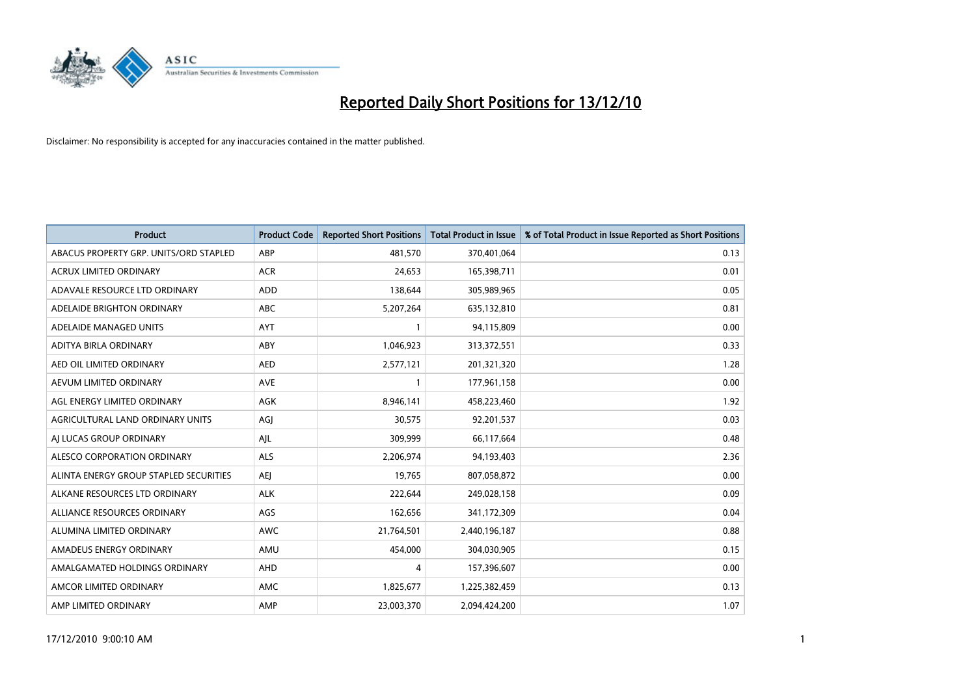

| <b>Product</b>                         | <b>Product Code</b> | <b>Reported Short Positions</b> | <b>Total Product in Issue</b> | % of Total Product in Issue Reported as Short Positions |
|----------------------------------------|---------------------|---------------------------------|-------------------------------|---------------------------------------------------------|
| ABACUS PROPERTY GRP. UNITS/ORD STAPLED | ABP                 | 481,570                         | 370,401,064                   | 0.13                                                    |
| ACRUX LIMITED ORDINARY                 | <b>ACR</b>          | 24,653                          | 165,398,711                   | 0.01                                                    |
| ADAVALE RESOURCE LTD ORDINARY          | <b>ADD</b>          | 138,644                         | 305,989,965                   | 0.05                                                    |
| ADELAIDE BRIGHTON ORDINARY             | <b>ABC</b>          | 5,207,264                       | 635,132,810                   | 0.81                                                    |
| ADELAIDE MANAGED UNITS                 | <b>AYT</b>          |                                 | 94,115,809                    | 0.00                                                    |
| ADITYA BIRLA ORDINARY                  | ABY                 | 1,046,923                       | 313,372,551                   | 0.33                                                    |
| AED OIL LIMITED ORDINARY               | <b>AED</b>          | 2,577,121                       | 201,321,320                   | 1.28                                                    |
| AEVUM LIMITED ORDINARY                 | <b>AVE</b>          |                                 | 177,961,158                   | 0.00                                                    |
| AGL ENERGY LIMITED ORDINARY            | <b>AGK</b>          | 8,946,141                       | 458,223,460                   | 1.92                                                    |
| AGRICULTURAL LAND ORDINARY UNITS       | AGI                 | 30,575                          | 92,201,537                    | 0.03                                                    |
| AJ LUCAS GROUP ORDINARY                | AJL                 | 309,999                         | 66,117,664                    | 0.48                                                    |
| ALESCO CORPORATION ORDINARY            | <b>ALS</b>          | 2,206,974                       | 94,193,403                    | 2.36                                                    |
| ALINTA ENERGY GROUP STAPLED SECURITIES | <b>AEJ</b>          | 19,765                          | 807,058,872                   | 0.00                                                    |
| ALKANE RESOURCES LTD ORDINARY          | <b>ALK</b>          | 222,644                         | 249,028,158                   | 0.09                                                    |
| ALLIANCE RESOURCES ORDINARY            | AGS                 | 162,656                         | 341,172,309                   | 0.04                                                    |
| ALUMINA LIMITED ORDINARY               | <b>AWC</b>          | 21,764,501                      | 2,440,196,187                 | 0.88                                                    |
| AMADEUS ENERGY ORDINARY                | AMU                 | 454,000                         | 304,030,905                   | 0.15                                                    |
| AMALGAMATED HOLDINGS ORDINARY          | <b>AHD</b>          | 4                               | 157,396,607                   | 0.00                                                    |
| AMCOR LIMITED ORDINARY                 | <b>AMC</b>          | 1,825,677                       | 1,225,382,459                 | 0.13                                                    |
| AMP LIMITED ORDINARY                   | AMP                 | 23,003,370                      | 2,094,424,200                 | 1.07                                                    |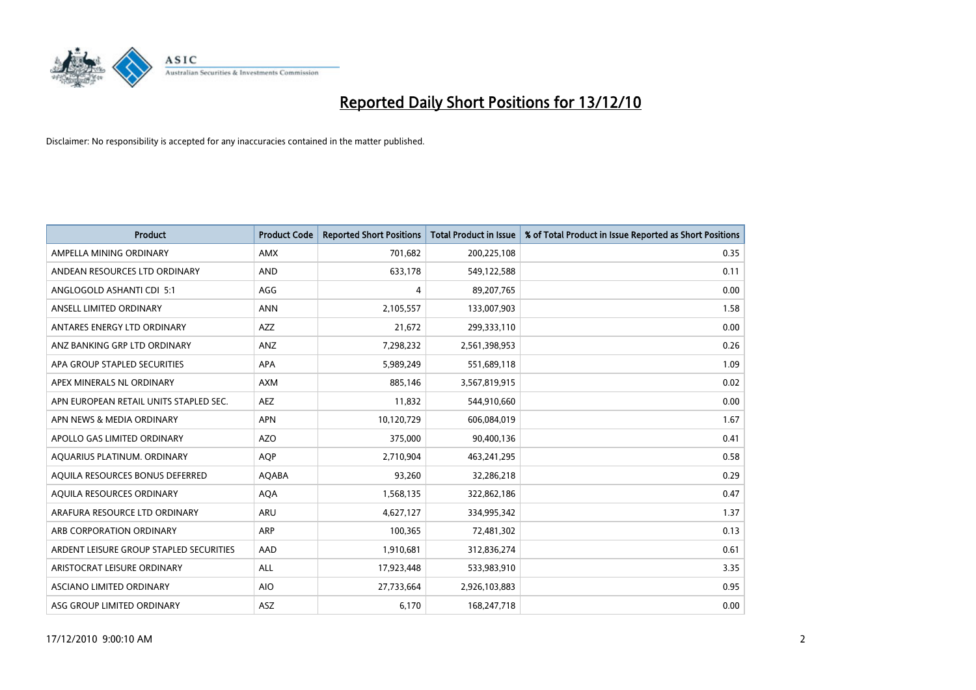

| <b>Product</b>                          | <b>Product Code</b> | <b>Reported Short Positions</b> | Total Product in Issue | % of Total Product in Issue Reported as Short Positions |
|-----------------------------------------|---------------------|---------------------------------|------------------------|---------------------------------------------------------|
| AMPELLA MINING ORDINARY                 | <b>AMX</b>          | 701,682                         | 200,225,108            | 0.35                                                    |
| ANDEAN RESOURCES LTD ORDINARY           | <b>AND</b>          | 633,178                         | 549,122,588            | 0.11                                                    |
| ANGLOGOLD ASHANTI CDI 5:1               | AGG                 | 4                               | 89,207,765             | 0.00                                                    |
| ANSELL LIMITED ORDINARY                 | <b>ANN</b>          | 2,105,557                       | 133,007,903            | 1.58                                                    |
| ANTARES ENERGY LTD ORDINARY             | <b>AZZ</b>          | 21,672                          | 299,333,110            | 0.00                                                    |
| ANZ BANKING GRP LTD ORDINARY            | ANZ                 | 7,298,232                       | 2,561,398,953          | 0.26                                                    |
| APA GROUP STAPLED SECURITIES            | <b>APA</b>          | 5,989,249                       | 551,689,118            | 1.09                                                    |
| APEX MINERALS NL ORDINARY               | <b>AXM</b>          | 885,146                         | 3,567,819,915          | 0.02                                                    |
| APN EUROPEAN RETAIL UNITS STAPLED SEC.  | <b>AEZ</b>          | 11,832                          | 544,910,660            | 0.00                                                    |
| APN NEWS & MEDIA ORDINARY               | <b>APN</b>          | 10,120,729                      | 606,084,019            | 1.67                                                    |
| APOLLO GAS LIMITED ORDINARY             | <b>AZO</b>          | 375,000                         | 90,400,136             | 0.41                                                    |
| AQUARIUS PLATINUM. ORDINARY             | AQP                 | 2,710,904                       | 463,241,295            | 0.58                                                    |
| AQUILA RESOURCES BONUS DEFERRED         | AQABA               | 93,260                          | 32,286,218             | 0.29                                                    |
| AOUILA RESOURCES ORDINARY               | <b>AQA</b>          | 1,568,135                       | 322,862,186            | 0.47                                                    |
| ARAFURA RESOURCE LTD ORDINARY           | <b>ARU</b>          | 4,627,127                       | 334,995,342            | 1.37                                                    |
| ARB CORPORATION ORDINARY                | <b>ARP</b>          | 100,365                         | 72,481,302             | 0.13                                                    |
| ARDENT LEISURE GROUP STAPLED SECURITIES | AAD                 | 1,910,681                       | 312,836,274            | 0.61                                                    |
| ARISTOCRAT LEISURE ORDINARY             | ALL                 | 17,923,448                      | 533,983,910            | 3.35                                                    |
| <b>ASCIANO LIMITED ORDINARY</b>         | <b>AIO</b>          | 27,733,664                      | 2,926,103,883          | 0.95                                                    |
| ASG GROUP LIMITED ORDINARY              | <b>ASZ</b>          | 6,170                           | 168,247,718            | 0.00                                                    |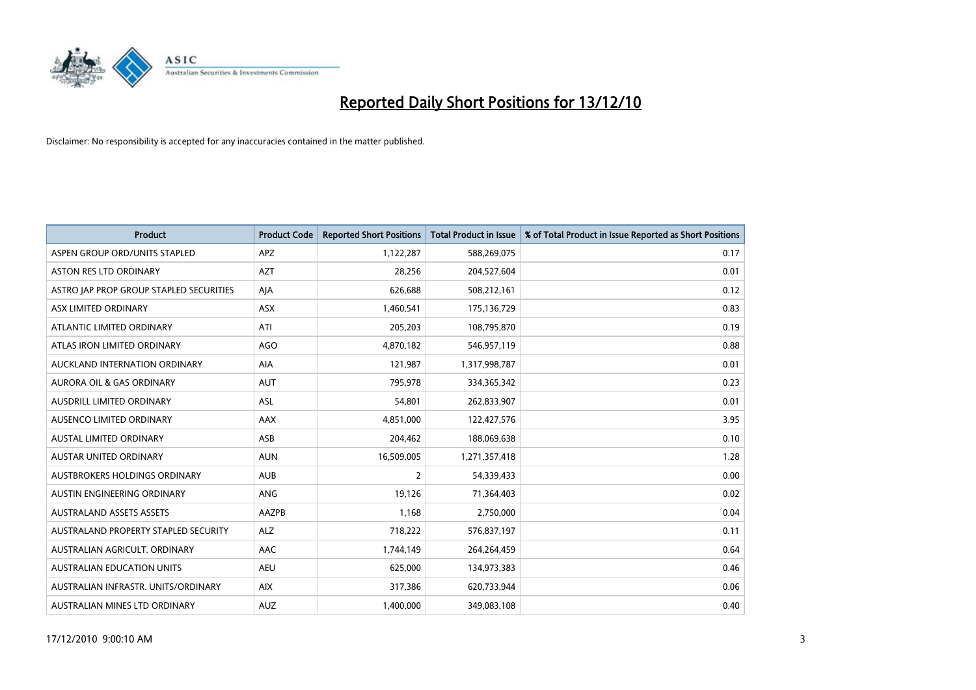

| Product                                 | <b>Product Code</b> | <b>Reported Short Positions</b> | Total Product in Issue | % of Total Product in Issue Reported as Short Positions |
|-----------------------------------------|---------------------|---------------------------------|------------------------|---------------------------------------------------------|
| ASPEN GROUP ORD/UNITS STAPLED           | <b>APZ</b>          | 1,122,287                       | 588,269,075            | 0.17                                                    |
| ASTON RES LTD ORDINARY                  | <b>AZT</b>          | 28,256                          | 204,527,604            | 0.01                                                    |
| ASTRO JAP PROP GROUP STAPLED SECURITIES | AJA                 | 626,688                         | 508,212,161            | 0.12                                                    |
| <b>ASX LIMITED ORDINARY</b>             | ASX                 | 1,460,541                       | 175,136,729            | 0.83                                                    |
| ATLANTIC LIMITED ORDINARY               | ATI                 | 205,203                         | 108,795,870            | 0.19                                                    |
| ATLAS IRON LIMITED ORDINARY             | <b>AGO</b>          | 4,870,182                       | 546,957,119            | 0.88                                                    |
| AUCKLAND INTERNATION ORDINARY           | AIA                 | 121,987                         | 1,317,998,787          | 0.01                                                    |
| AURORA OIL & GAS ORDINARY               | <b>AUT</b>          | 795,978                         | 334,365,342            | 0.23                                                    |
| AUSDRILL LIMITED ORDINARY               | ASL                 | 54,801                          | 262,833,907            | 0.01                                                    |
| AUSENCO LIMITED ORDINARY                | AAX                 | 4,851,000                       | 122,427,576            | 3.95                                                    |
| <b>AUSTAL LIMITED ORDINARY</b>          | ASB                 | 204,462                         | 188,069,638            | 0.10                                                    |
| <b>AUSTAR UNITED ORDINARY</b>           | <b>AUN</b>          | 16,509,005                      | 1,271,357,418          | 1.28                                                    |
| AUSTBROKERS HOLDINGS ORDINARY           | <b>AUB</b>          | $\overline{2}$                  | 54,339,433             | 0.00                                                    |
| AUSTIN ENGINEERING ORDINARY             | ANG                 | 19,126                          | 71,364,403             | 0.02                                                    |
| <b>AUSTRALAND ASSETS ASSETS</b>         | AAZPB               | 1,168                           | 2,750,000              | 0.04                                                    |
| AUSTRALAND PROPERTY STAPLED SECURITY    | <b>ALZ</b>          | 718,222                         | 576,837,197            | 0.11                                                    |
| AUSTRALIAN AGRICULT, ORDINARY           | AAC                 | 1,744,149                       | 264,264,459            | 0.64                                                    |
| AUSTRALIAN EDUCATION UNITS              | <b>AEU</b>          | 625,000                         | 134,973,383            | 0.46                                                    |
| AUSTRALIAN INFRASTR, UNITS/ORDINARY     | <b>AIX</b>          | 317,386                         | 620,733,944            | 0.06                                                    |
| AUSTRALIAN MINES LTD ORDINARY           | <b>AUZ</b>          | 1,400,000                       | 349,083,108            | 0.40                                                    |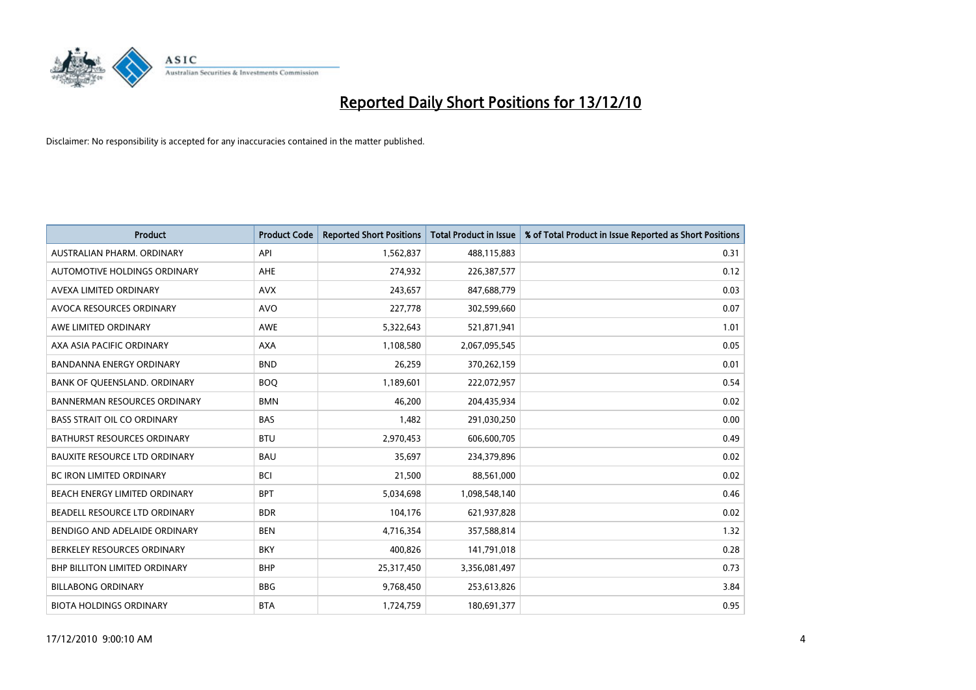

| <b>Product</b>                       | <b>Product Code</b> | <b>Reported Short Positions</b> | Total Product in Issue | % of Total Product in Issue Reported as Short Positions |
|--------------------------------------|---------------------|---------------------------------|------------------------|---------------------------------------------------------|
| AUSTRALIAN PHARM, ORDINARY           | API                 | 1,562,837                       | 488,115,883            | 0.31                                                    |
| AUTOMOTIVE HOLDINGS ORDINARY         | <b>AHE</b>          | 274,932                         | 226,387,577            | 0.12                                                    |
| AVEXA LIMITED ORDINARY               | <b>AVX</b>          | 243,657                         | 847,688,779            | 0.03                                                    |
| AVOCA RESOURCES ORDINARY             | <b>AVO</b>          | 227,778                         | 302,599,660            | 0.07                                                    |
| AWE LIMITED ORDINARY                 | AWE                 | 5,322,643                       | 521,871,941            | 1.01                                                    |
| AXA ASIA PACIFIC ORDINARY            | <b>AXA</b>          | 1,108,580                       | 2,067,095,545          | 0.05                                                    |
| <b>BANDANNA ENERGY ORDINARY</b>      | <b>BND</b>          | 26,259                          | 370,262,159            | 0.01                                                    |
| BANK OF QUEENSLAND. ORDINARY         | <b>BOQ</b>          | 1,189,601                       | 222,072,957            | 0.54                                                    |
| <b>BANNERMAN RESOURCES ORDINARY</b>  | <b>BMN</b>          | 46,200                          | 204,435,934            | 0.02                                                    |
| <b>BASS STRAIT OIL CO ORDINARY</b>   | <b>BAS</b>          | 1,482                           | 291,030,250            | 0.00                                                    |
| BATHURST RESOURCES ORDINARY          | <b>BTU</b>          | 2,970,453                       | 606,600,705            | 0.49                                                    |
| <b>BAUXITE RESOURCE LTD ORDINARY</b> | <b>BAU</b>          | 35,697                          | 234,379,896            | 0.02                                                    |
| BC IRON LIMITED ORDINARY             | <b>BCI</b>          | 21,500                          | 88,561,000             | 0.02                                                    |
| <b>BEACH ENERGY LIMITED ORDINARY</b> | <b>BPT</b>          | 5,034,698                       | 1,098,548,140          | 0.46                                                    |
| BEADELL RESOURCE LTD ORDINARY        | <b>BDR</b>          | 104,176                         | 621,937,828            | 0.02                                                    |
| BENDIGO AND ADELAIDE ORDINARY        | <b>BEN</b>          | 4,716,354                       | 357,588,814            | 1.32                                                    |
| BERKELEY RESOURCES ORDINARY          | <b>BKY</b>          | 400,826                         | 141,791,018            | 0.28                                                    |
| BHP BILLITON LIMITED ORDINARY        | <b>BHP</b>          | 25,317,450                      | 3,356,081,497          | 0.73                                                    |
| <b>BILLABONG ORDINARY</b>            | <b>BBG</b>          | 9,768,450                       | 253,613,826            | 3.84                                                    |
| <b>BIOTA HOLDINGS ORDINARY</b>       | <b>BTA</b>          | 1,724,759                       | 180,691,377            | 0.95                                                    |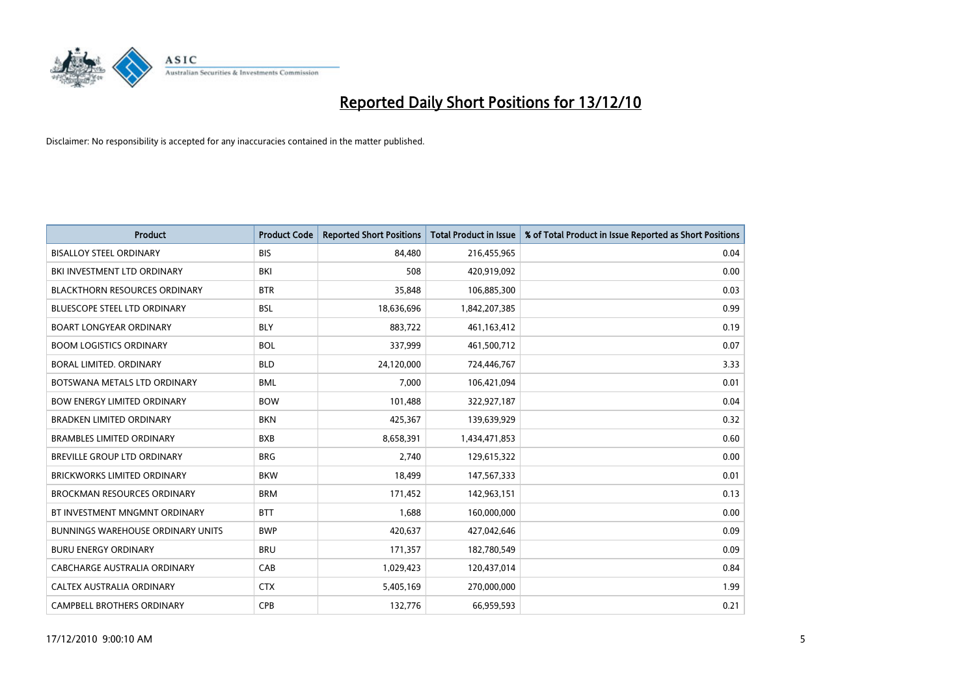

| <b>Product</b>                           | <b>Product Code</b> | <b>Reported Short Positions</b> | Total Product in Issue | % of Total Product in Issue Reported as Short Positions |
|------------------------------------------|---------------------|---------------------------------|------------------------|---------------------------------------------------------|
| <b>BISALLOY STEEL ORDINARY</b>           | <b>BIS</b>          | 84,480                          | 216,455,965            | 0.04                                                    |
| BKI INVESTMENT LTD ORDINARY              | <b>BKI</b>          | 508                             | 420,919,092            | 0.00                                                    |
| <b>BLACKTHORN RESOURCES ORDINARY</b>     | <b>BTR</b>          | 35,848                          | 106,885,300            | 0.03                                                    |
| BLUESCOPE STEEL LTD ORDINARY             | <b>BSL</b>          | 18,636,696                      | 1,842,207,385          | 0.99                                                    |
| <b>BOART LONGYEAR ORDINARY</b>           | <b>BLY</b>          | 883,722                         | 461,163,412            | 0.19                                                    |
| <b>BOOM LOGISTICS ORDINARY</b>           | <b>BOL</b>          | 337,999                         | 461,500,712            | 0.07                                                    |
| BORAL LIMITED, ORDINARY                  | <b>BLD</b>          | 24,120,000                      | 724,446,767            | 3.33                                                    |
| BOTSWANA METALS LTD ORDINARY             | <b>BML</b>          | 7,000                           | 106,421,094            | 0.01                                                    |
| <b>BOW ENERGY LIMITED ORDINARY</b>       | <b>BOW</b>          | 101,488                         | 322,927,187            | 0.04                                                    |
| <b>BRADKEN LIMITED ORDINARY</b>          | <b>BKN</b>          | 425,367                         | 139,639,929            | 0.32                                                    |
| <b>BRAMBLES LIMITED ORDINARY</b>         | <b>BXB</b>          | 8,658,391                       | 1,434,471,853          | 0.60                                                    |
| <b>BREVILLE GROUP LTD ORDINARY</b>       | <b>BRG</b>          | 2,740                           | 129,615,322            | 0.00                                                    |
| <b>BRICKWORKS LIMITED ORDINARY</b>       | <b>BKW</b>          | 18.499                          | 147,567,333            | 0.01                                                    |
| <b>BROCKMAN RESOURCES ORDINARY</b>       | <b>BRM</b>          | 171,452                         | 142,963,151            | 0.13                                                    |
| BT INVESTMENT MNGMNT ORDINARY            | <b>BTT</b>          | 1,688                           | 160,000,000            | 0.00                                                    |
| <b>BUNNINGS WAREHOUSE ORDINARY UNITS</b> | <b>BWP</b>          | 420.637                         | 427,042,646            | 0.09                                                    |
| <b>BURU ENERGY ORDINARY</b>              | <b>BRU</b>          | 171,357                         | 182,780,549            | 0.09                                                    |
| CABCHARGE AUSTRALIA ORDINARY             | CAB                 | 1,029,423                       | 120,437,014            | 0.84                                                    |
| CALTEX AUSTRALIA ORDINARY                | <b>CTX</b>          | 5,405,169                       | 270,000,000            | 1.99                                                    |
| <b>CAMPBELL BROTHERS ORDINARY</b>        | CPB                 | 132,776                         | 66,959,593             | 0.21                                                    |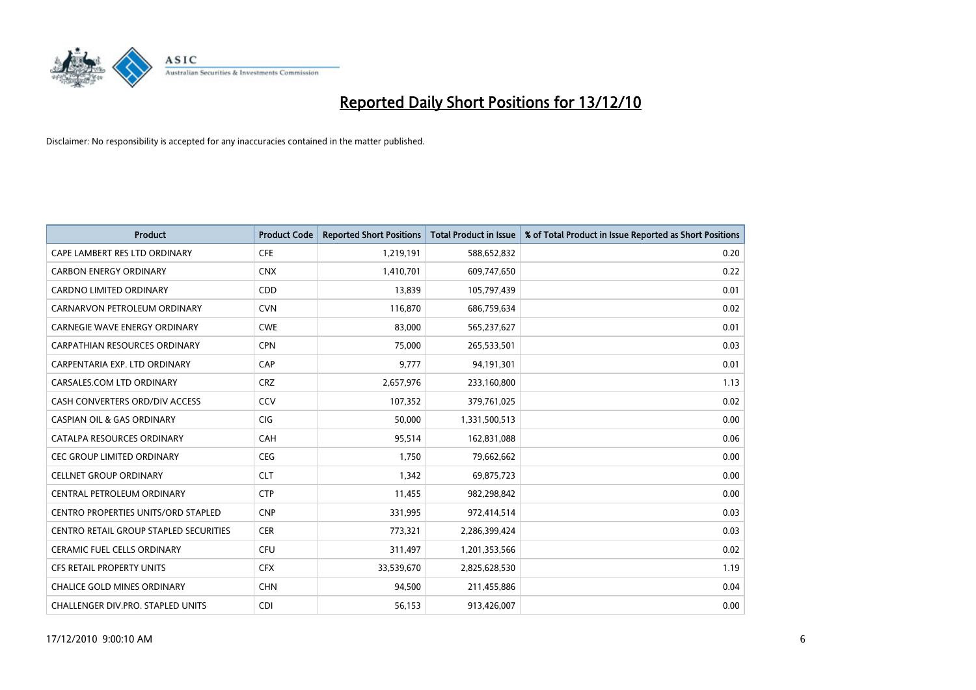

| <b>Product</b>                                | <b>Product Code</b> | <b>Reported Short Positions</b> | Total Product in Issue | % of Total Product in Issue Reported as Short Positions |
|-----------------------------------------------|---------------------|---------------------------------|------------------------|---------------------------------------------------------|
| CAPE LAMBERT RES LTD ORDINARY                 | <b>CFE</b>          | 1,219,191                       | 588,652,832            | 0.20                                                    |
| <b>CARBON ENERGY ORDINARY</b>                 | <b>CNX</b>          | 1,410,701                       | 609,747,650            | 0.22                                                    |
| <b>CARDNO LIMITED ORDINARY</b>                | CDD                 | 13,839                          | 105,797,439            | 0.01                                                    |
| CARNARVON PETROLEUM ORDINARY                  | <b>CVN</b>          | 116,870                         | 686,759,634            | 0.02                                                    |
| CARNEGIE WAVE ENERGY ORDINARY                 | <b>CWE</b>          | 83,000                          | 565,237,627            | 0.01                                                    |
| <b>CARPATHIAN RESOURCES ORDINARY</b>          | <b>CPN</b>          | 75,000                          | 265,533,501            | 0.03                                                    |
| CARPENTARIA EXP. LTD ORDINARY                 | CAP                 | 9,777                           | 94,191,301             | 0.01                                                    |
| CARSALES.COM LTD ORDINARY                     | <b>CRZ</b>          | 2,657,976                       | 233,160,800            | 1.13                                                    |
| CASH CONVERTERS ORD/DIV ACCESS                | <b>CCV</b>          | 107,352                         | 379,761,025            | 0.02                                                    |
| <b>CASPIAN OIL &amp; GAS ORDINARY</b>         | <b>CIG</b>          | 50,000                          | 1,331,500,513          | 0.00                                                    |
| CATALPA RESOURCES ORDINARY                    | CAH                 | 95,514                          | 162,831,088            | 0.06                                                    |
| CEC GROUP LIMITED ORDINARY                    | <b>CEG</b>          | 1,750                           | 79,662,662             | 0.00                                                    |
| <b>CELLNET GROUP ORDINARY</b>                 | <b>CLT</b>          | 1,342                           | 69,875,723             | 0.00                                                    |
| CENTRAL PETROLEUM ORDINARY                    | <b>CTP</b>          | 11,455                          | 982,298,842            | 0.00                                                    |
| <b>CENTRO PROPERTIES UNITS/ORD STAPLED</b>    | <b>CNP</b>          | 331,995                         | 972,414,514            | 0.03                                                    |
| <b>CENTRO RETAIL GROUP STAPLED SECURITIES</b> | <b>CER</b>          | 773,321                         | 2,286,399,424          | 0.03                                                    |
| <b>CERAMIC FUEL CELLS ORDINARY</b>            | <b>CFU</b>          | 311,497                         | 1,201,353,566          | 0.02                                                    |
| CFS RETAIL PROPERTY UNITS                     | <b>CFX</b>          | 33,539,670                      | 2,825,628,530          | 1.19                                                    |
| <b>CHALICE GOLD MINES ORDINARY</b>            | <b>CHN</b>          | 94,500                          | 211,455,886            | 0.04                                                    |
| CHALLENGER DIV.PRO. STAPLED UNITS             | <b>CDI</b>          | 56,153                          | 913,426,007            | 0.00                                                    |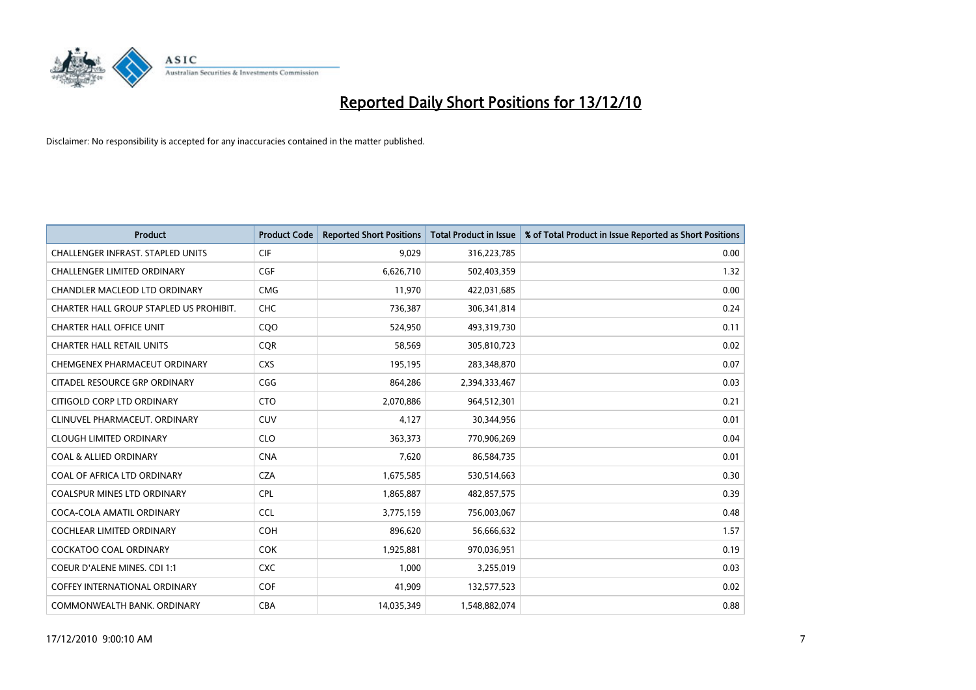

| <b>Product</b>                           | <b>Product Code</b> | <b>Reported Short Positions</b> | Total Product in Issue | % of Total Product in Issue Reported as Short Positions |
|------------------------------------------|---------------------|---------------------------------|------------------------|---------------------------------------------------------|
| <b>CHALLENGER INFRAST, STAPLED UNITS</b> | <b>CIF</b>          | 9,029                           | 316,223,785            | 0.00                                                    |
| <b>CHALLENGER LIMITED ORDINARY</b>       | <b>CGF</b>          | 6,626,710                       | 502,403,359            | 1.32                                                    |
| <b>CHANDLER MACLEOD LTD ORDINARY</b>     | <b>CMG</b>          | 11,970                          | 422,031,685            | 0.00                                                    |
| CHARTER HALL GROUP STAPLED US PROHIBIT.  | <b>CHC</b>          | 736,387                         | 306,341,814            | 0.24                                                    |
| <b>CHARTER HALL OFFICE UNIT</b>          | COO                 | 524,950                         | 493,319,730            | 0.11                                                    |
| <b>CHARTER HALL RETAIL UNITS</b>         | CQR                 | 58,569                          | 305,810,723            | 0.02                                                    |
| CHEMGENEX PHARMACEUT ORDINARY            | <b>CXS</b>          | 195,195                         | 283,348,870            | 0.07                                                    |
| CITADEL RESOURCE GRP ORDINARY            | CGG                 | 864,286                         | 2,394,333,467          | 0.03                                                    |
| CITIGOLD CORP LTD ORDINARY               | <b>CTO</b>          | 2,070,886                       | 964,512,301            | 0.21                                                    |
| CLINUVEL PHARMACEUT, ORDINARY            | <b>CUV</b>          | 4,127                           | 30,344,956             | 0.01                                                    |
| <b>CLOUGH LIMITED ORDINARY</b>           | <b>CLO</b>          | 363,373                         | 770,906,269            | 0.04                                                    |
| <b>COAL &amp; ALLIED ORDINARY</b>        | <b>CNA</b>          | 7,620                           | 86,584,735             | 0.01                                                    |
| COAL OF AFRICA LTD ORDINARY              | <b>CZA</b>          | 1,675,585                       | 530,514,663            | 0.30                                                    |
| <b>COALSPUR MINES LTD ORDINARY</b>       | <b>CPL</b>          | 1,865,887                       | 482,857,575            | 0.39                                                    |
| COCA-COLA AMATIL ORDINARY                | <b>CCL</b>          | 3,775,159                       | 756,003,067            | 0.48                                                    |
| <b>COCHLEAR LIMITED ORDINARY</b>         | <b>COH</b>          | 896,620                         | 56,666,632             | 1.57                                                    |
| <b>COCKATOO COAL ORDINARY</b>            | <b>COK</b>          | 1,925,881                       | 970,036,951            | 0.19                                                    |
| COEUR D'ALENE MINES. CDI 1:1             | <b>CXC</b>          | 1,000                           | 3,255,019              | 0.03                                                    |
| <b>COFFEY INTERNATIONAL ORDINARY</b>     | <b>COF</b>          | 41,909                          | 132,577,523            | 0.02                                                    |
| COMMONWEALTH BANK, ORDINARY              | <b>CBA</b>          | 14,035,349                      | 1,548,882,074          | 0.88                                                    |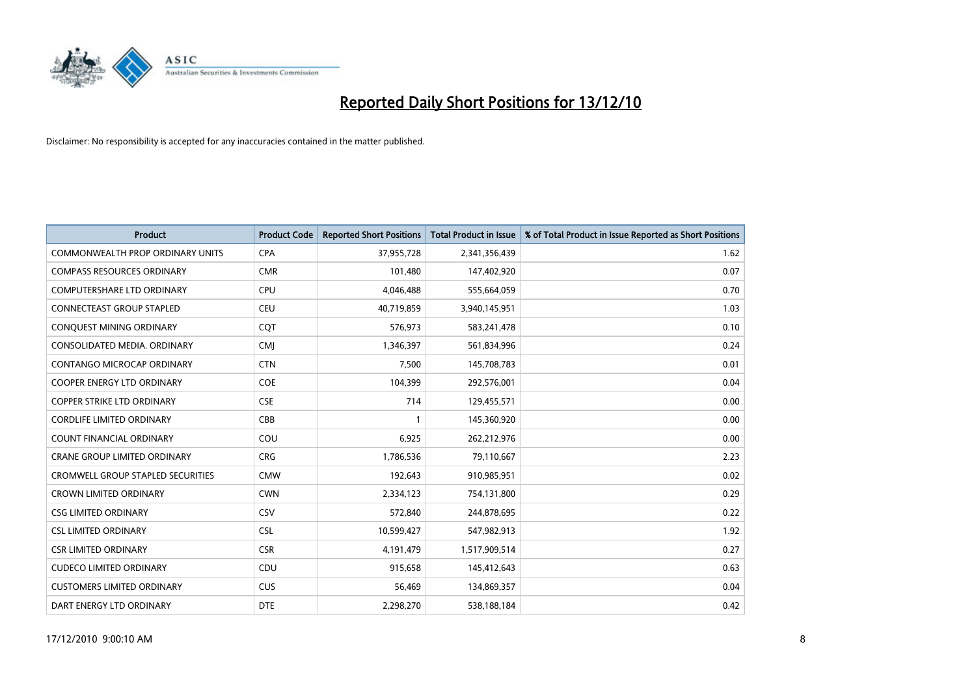

| <b>Product</b>                           | <b>Product Code</b> | <b>Reported Short Positions</b> | <b>Total Product in Issue</b> | % of Total Product in Issue Reported as Short Positions |
|------------------------------------------|---------------------|---------------------------------|-------------------------------|---------------------------------------------------------|
| <b>COMMONWEALTH PROP ORDINARY UNITS</b>  | <b>CPA</b>          | 37,955,728                      | 2,341,356,439                 | 1.62                                                    |
| <b>COMPASS RESOURCES ORDINARY</b>        | <b>CMR</b>          | 101,480                         | 147,402,920                   | 0.07                                                    |
| COMPUTERSHARE LTD ORDINARY               | <b>CPU</b>          | 4,046,488                       | 555,664,059                   | 0.70                                                    |
| <b>CONNECTEAST GROUP STAPLED</b>         | <b>CEU</b>          | 40,719,859                      | 3,940,145,951                 | 1.03                                                    |
| CONQUEST MINING ORDINARY                 | COT                 | 576,973                         | 583,241,478                   | 0.10                                                    |
| CONSOLIDATED MEDIA, ORDINARY             | <b>CMI</b>          | 1,346,397                       | 561,834,996                   | 0.24                                                    |
| CONTANGO MICROCAP ORDINARY               | <b>CTN</b>          | 7,500                           | 145,708,783                   | 0.01                                                    |
| COOPER ENERGY LTD ORDINARY               | <b>COE</b>          | 104,399                         | 292,576,001                   | 0.04                                                    |
| <b>COPPER STRIKE LTD ORDINARY</b>        | <b>CSE</b>          | 714                             | 129,455,571                   | 0.00                                                    |
| <b>CORDLIFE LIMITED ORDINARY</b>         | CBB                 |                                 | 145,360,920                   | 0.00                                                    |
| COUNT FINANCIAL ORDINARY                 | COU                 | 6,925                           | 262,212,976                   | 0.00                                                    |
| <b>CRANE GROUP LIMITED ORDINARY</b>      | <b>CRG</b>          | 1,786,536                       | 79,110,667                    | 2.23                                                    |
| <b>CROMWELL GROUP STAPLED SECURITIES</b> | <b>CMW</b>          | 192,643                         | 910,985,951                   | 0.02                                                    |
| <b>CROWN LIMITED ORDINARY</b>            | <b>CWN</b>          | 2,334,123                       | 754,131,800                   | 0.29                                                    |
| <b>CSG LIMITED ORDINARY</b>              | <b>CSV</b>          | 572,840                         | 244,878,695                   | 0.22                                                    |
| <b>CSL LIMITED ORDINARY</b>              | <b>CSL</b>          | 10,599,427                      | 547,982,913                   | 1.92                                                    |
| <b>CSR LIMITED ORDINARY</b>              | <b>CSR</b>          | 4,191,479                       | 1,517,909,514                 | 0.27                                                    |
| <b>CUDECO LIMITED ORDINARY</b>           | CDU                 | 915,658                         | 145,412,643                   | 0.63                                                    |
| <b>CUSTOMERS LIMITED ORDINARY</b>        | <b>CUS</b>          | 56,469                          | 134,869,357                   | 0.04                                                    |
| DART ENERGY LTD ORDINARY                 | <b>DTE</b>          | 2,298,270                       | 538,188,184                   | 0.42                                                    |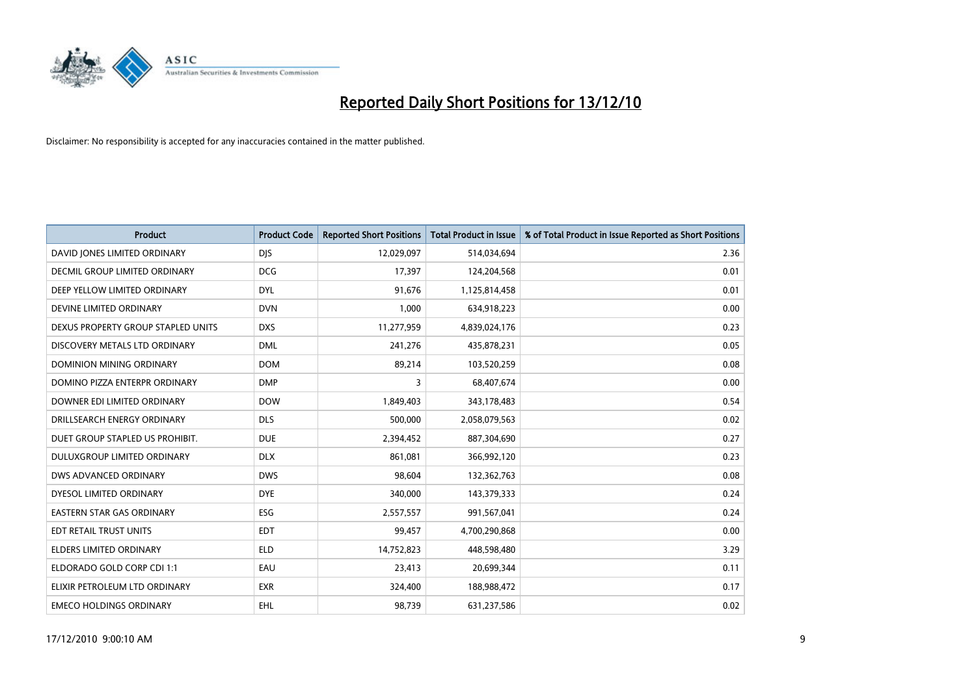

| Product                              | <b>Product Code</b> | <b>Reported Short Positions</b> | Total Product in Issue | % of Total Product in Issue Reported as Short Positions |
|--------------------------------------|---------------------|---------------------------------|------------------------|---------------------------------------------------------|
| DAVID JONES LIMITED ORDINARY         | <b>DJS</b>          | 12,029,097                      | 514,034,694            | 2.36                                                    |
| <b>DECMIL GROUP LIMITED ORDINARY</b> | <b>DCG</b>          | 17.397                          | 124,204,568            | 0.01                                                    |
| DEEP YELLOW LIMITED ORDINARY         | <b>DYL</b>          | 91,676                          | 1,125,814,458          | 0.01                                                    |
| DEVINE LIMITED ORDINARY              | <b>DVN</b>          | 1,000                           | 634,918,223            | 0.00                                                    |
| DEXUS PROPERTY GROUP STAPLED UNITS   | <b>DXS</b>          | 11,277,959                      | 4,839,024,176          | 0.23                                                    |
| DISCOVERY METALS LTD ORDINARY        | <b>DML</b>          | 241,276                         | 435,878,231            | 0.05                                                    |
| DOMINION MINING ORDINARY             | <b>DOM</b>          | 89,214                          | 103,520,259            | 0.08                                                    |
| DOMINO PIZZA ENTERPR ORDINARY        | <b>DMP</b>          | 3                               | 68,407,674             | 0.00                                                    |
| DOWNER EDI LIMITED ORDINARY          | <b>DOW</b>          | 1,849,403                       | 343,178,483            | 0.54                                                    |
| DRILLSEARCH ENERGY ORDINARY          | <b>DLS</b>          | 500,000                         | 2,058,079,563          | 0.02                                                    |
| DUET GROUP STAPLED US PROHIBIT.      | <b>DUE</b>          | 2,394,452                       | 887,304,690            | 0.27                                                    |
| <b>DULUXGROUP LIMITED ORDINARY</b>   | <b>DLX</b>          | 861,081                         | 366,992,120            | 0.23                                                    |
| <b>DWS ADVANCED ORDINARY</b>         | <b>DWS</b>          | 98,604                          | 132,362,763            | 0.08                                                    |
| DYESOL LIMITED ORDINARY              | <b>DYE</b>          | 340,000                         | 143,379,333            | 0.24                                                    |
| <b>EASTERN STAR GAS ORDINARY</b>     | <b>ESG</b>          | 2,557,557                       | 991,567,041            | 0.24                                                    |
| EDT RETAIL TRUST UNITS               | EDT                 | 99,457                          | 4,700,290,868          | 0.00                                                    |
| <b>ELDERS LIMITED ORDINARY</b>       | <b>ELD</b>          | 14,752,823                      | 448,598,480            | 3.29                                                    |
| ELDORADO GOLD CORP CDI 1:1           | EAU                 | 23,413                          | 20,699,344             | 0.11                                                    |
| ELIXIR PETROLEUM LTD ORDINARY        | <b>EXR</b>          | 324,400                         | 188,988,472            | 0.17                                                    |
| <b>EMECO HOLDINGS ORDINARY</b>       | EHL                 | 98,739                          | 631,237,586            | 0.02                                                    |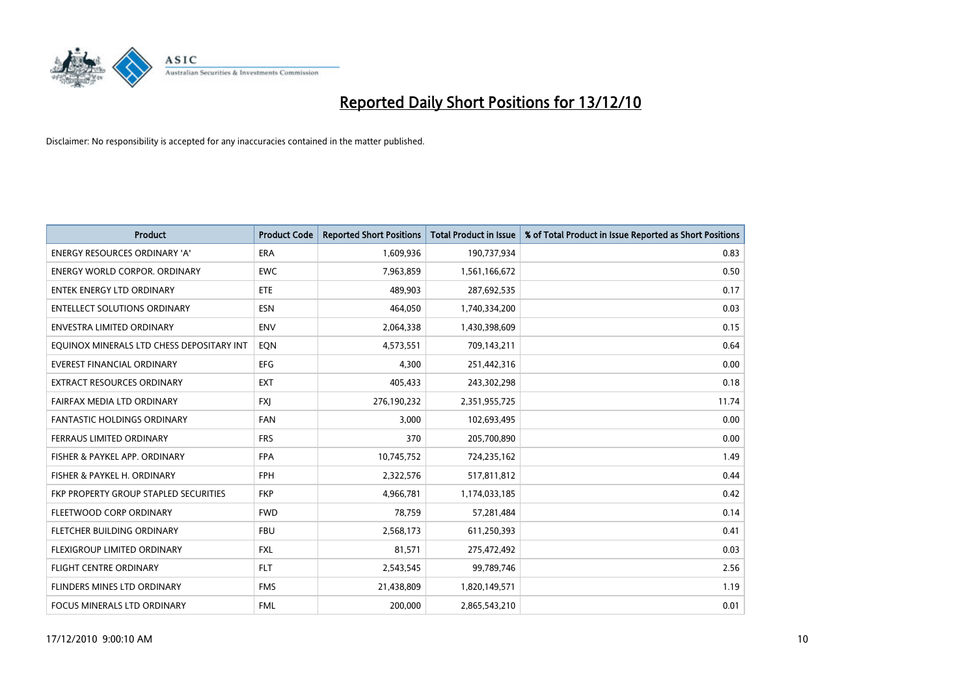

| <b>Product</b>                            | <b>Product Code</b> | <b>Reported Short Positions</b> | <b>Total Product in Issue</b> | % of Total Product in Issue Reported as Short Positions |
|-------------------------------------------|---------------------|---------------------------------|-------------------------------|---------------------------------------------------------|
| <b>ENERGY RESOURCES ORDINARY 'A'</b>      | <b>ERA</b>          | 1,609,936                       | 190,737,934                   | 0.83                                                    |
| <b>ENERGY WORLD CORPOR, ORDINARY</b>      | <b>EWC</b>          | 7,963,859                       | 1,561,166,672                 | 0.50                                                    |
| <b>ENTEK ENERGY LTD ORDINARY</b>          | <b>ETE</b>          | 489,903                         | 287,692,535                   | 0.17                                                    |
| <b>ENTELLECT SOLUTIONS ORDINARY</b>       | <b>ESN</b>          | 464,050                         | 1,740,334,200                 | 0.03                                                    |
| <b>ENVESTRA LIMITED ORDINARY</b>          | <b>ENV</b>          | 2,064,338                       | 1,430,398,609                 | 0.15                                                    |
| EQUINOX MINERALS LTD CHESS DEPOSITARY INT | EON                 | 4,573,551                       | 709,143,211                   | 0.64                                                    |
| EVEREST FINANCIAL ORDINARY                | <b>EFG</b>          | 4,300                           | 251,442,316                   | 0.00                                                    |
| EXTRACT RESOURCES ORDINARY                | <b>EXT</b>          | 405,433                         | 243,302,298                   | 0.18                                                    |
| FAIRFAX MEDIA LTD ORDINARY                | <b>FXI</b>          | 276,190,232                     | 2,351,955,725                 | 11.74                                                   |
| <b>FANTASTIC HOLDINGS ORDINARY</b>        | <b>FAN</b>          | 3,000                           | 102,693,495                   | 0.00                                                    |
| FERRAUS LIMITED ORDINARY                  | <b>FRS</b>          | 370                             | 205,700,890                   | 0.00                                                    |
| FISHER & PAYKEL APP. ORDINARY             | <b>FPA</b>          | 10,745,752                      | 724,235,162                   | 1.49                                                    |
| FISHER & PAYKEL H. ORDINARY               | <b>FPH</b>          | 2,322,576                       | 517,811,812                   | 0.44                                                    |
| FKP PROPERTY GROUP STAPLED SECURITIES     | <b>FKP</b>          | 4,966,781                       | 1,174,033,185                 | 0.42                                                    |
| FLEETWOOD CORP ORDINARY                   | <b>FWD</b>          | 78,759                          | 57,281,484                    | 0.14                                                    |
| FLETCHER BUILDING ORDINARY                | <b>FBU</b>          | 2,568,173                       | 611,250,393                   | 0.41                                                    |
| FLEXIGROUP LIMITED ORDINARY               | <b>FXL</b>          | 81,571                          | 275,472,492                   | 0.03                                                    |
| FLIGHT CENTRE ORDINARY                    | <b>FLT</b>          | 2,543,545                       | 99,789,746                    | 2.56                                                    |
| FLINDERS MINES LTD ORDINARY               | <b>FMS</b>          | 21,438,809                      | 1,820,149,571                 | 1.19                                                    |
| FOCUS MINERALS LTD ORDINARY               | <b>FML</b>          | 200.000                         | 2,865,543,210                 | 0.01                                                    |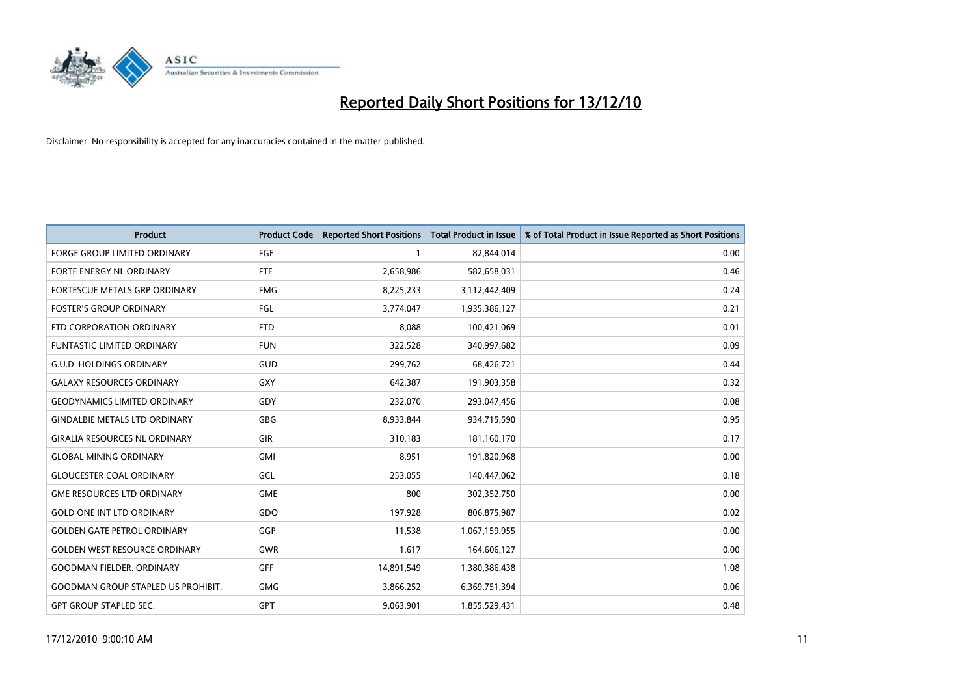

| <b>Product</b>                            | <b>Product Code</b> | <b>Reported Short Positions</b> | <b>Total Product in Issue</b> | % of Total Product in Issue Reported as Short Positions |
|-------------------------------------------|---------------------|---------------------------------|-------------------------------|---------------------------------------------------------|
| <b>FORGE GROUP LIMITED ORDINARY</b>       | <b>FGE</b>          |                                 | 82,844,014                    | 0.00                                                    |
| FORTE ENERGY NL ORDINARY                  | <b>FTE</b>          | 2,658,986                       | 582,658,031                   | 0.46                                                    |
| FORTESCUE METALS GRP ORDINARY             | <b>FMG</b>          | 8,225,233                       | 3,112,442,409                 | 0.24                                                    |
| <b>FOSTER'S GROUP ORDINARY</b>            | <b>FGL</b>          | 3,774,047                       | 1,935,386,127                 | 0.21                                                    |
| FTD CORPORATION ORDINARY                  | <b>FTD</b>          | 8,088                           | 100,421,069                   | 0.01                                                    |
| <b>FUNTASTIC LIMITED ORDINARY</b>         | <b>FUN</b>          | 322,528                         | 340,997,682                   | 0.09                                                    |
| <b>G.U.D. HOLDINGS ORDINARY</b>           | GUD                 | 299,762                         | 68,426,721                    | 0.44                                                    |
| <b>GALAXY RESOURCES ORDINARY</b>          | <b>GXY</b>          | 642,387                         | 191,903,358                   | 0.32                                                    |
| <b>GEODYNAMICS LIMITED ORDINARY</b>       | GDY                 | 232,070                         | 293,047,456                   | 0.08                                                    |
| <b>GINDALBIE METALS LTD ORDINARY</b>      | GBG                 | 8,933,844                       | 934,715,590                   | 0.95                                                    |
| <b>GIRALIA RESOURCES NL ORDINARY</b>      | <b>GIR</b>          | 310,183                         | 181,160,170                   | 0.17                                                    |
| <b>GLOBAL MINING ORDINARY</b>             | <b>GMI</b>          | 8,951                           | 191,820,968                   | 0.00                                                    |
| <b>GLOUCESTER COAL ORDINARY</b>           | GCL                 | 253,055                         | 140,447,062                   | 0.18                                                    |
| <b>GME RESOURCES LTD ORDINARY</b>         | <b>GME</b>          | 800                             | 302,352,750                   | 0.00                                                    |
| <b>GOLD ONE INT LTD ORDINARY</b>          | GDO                 | 197,928                         | 806,875,987                   | 0.02                                                    |
| <b>GOLDEN GATE PETROL ORDINARY</b>        | GGP                 | 11,538                          | 1,067,159,955                 | 0.00                                                    |
| <b>GOLDEN WEST RESOURCE ORDINARY</b>      | <b>GWR</b>          | 1,617                           | 164,606,127                   | 0.00                                                    |
| <b>GOODMAN FIELDER, ORDINARY</b>          | GFF                 | 14,891,549                      | 1,380,386,438                 | 1.08                                                    |
| <b>GOODMAN GROUP STAPLED US PROHIBIT.</b> | <b>GMG</b>          | 3,866,252                       | 6,369,751,394                 | 0.06                                                    |
| <b>GPT GROUP STAPLED SEC.</b>             | <b>GPT</b>          | 9,063,901                       | 1,855,529,431                 | 0.48                                                    |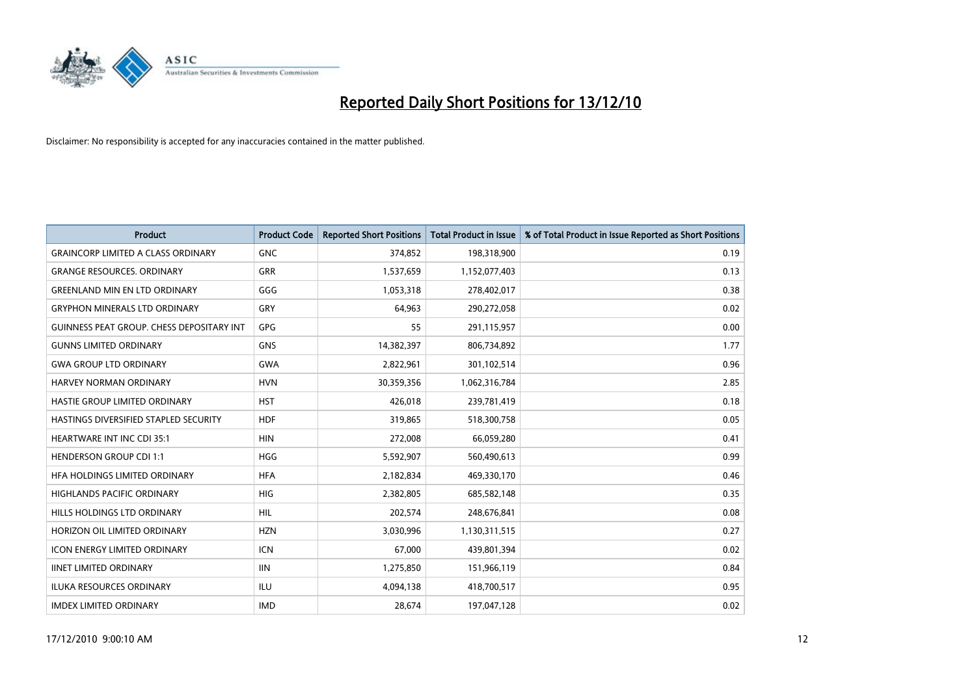

| <b>Product</b>                                   | <b>Product Code</b> | <b>Reported Short Positions</b> | <b>Total Product in Issue</b> | % of Total Product in Issue Reported as Short Positions |
|--------------------------------------------------|---------------------|---------------------------------|-------------------------------|---------------------------------------------------------|
| <b>GRAINCORP LIMITED A CLASS ORDINARY</b>        | <b>GNC</b>          | 374,852                         | 198,318,900                   | 0.19                                                    |
| <b>GRANGE RESOURCES. ORDINARY</b>                | <b>GRR</b>          | 1,537,659                       | 1,152,077,403                 | 0.13                                                    |
| <b>GREENLAND MIN EN LTD ORDINARY</b>             | GGG                 | 1,053,318                       | 278,402,017                   | 0.38                                                    |
| <b>GRYPHON MINERALS LTD ORDINARY</b>             | GRY                 | 64,963                          | 290,272,058                   | 0.02                                                    |
| <b>GUINNESS PEAT GROUP. CHESS DEPOSITARY INT</b> | GPG                 | 55                              | 291,115,957                   | 0.00                                                    |
| <b>GUNNS LIMITED ORDINARY</b>                    | <b>GNS</b>          | 14,382,397                      | 806,734,892                   | 1.77                                                    |
| <b>GWA GROUP LTD ORDINARY</b>                    | <b>GWA</b>          | 2,822,961                       | 301,102,514                   | 0.96                                                    |
| HARVEY NORMAN ORDINARY                           | <b>HVN</b>          | 30,359,356                      | 1,062,316,784                 | 2.85                                                    |
| HASTIE GROUP LIMITED ORDINARY                    | <b>HST</b>          | 426,018                         | 239,781,419                   | 0.18                                                    |
| HASTINGS DIVERSIFIED STAPLED SECURITY            | <b>HDF</b>          | 319,865                         | 518,300,758                   | 0.05                                                    |
| <b>HEARTWARE INT INC CDI 35:1</b>                | <b>HIN</b>          | 272,008                         | 66,059,280                    | 0.41                                                    |
| <b>HENDERSON GROUP CDI 1:1</b>                   | <b>HGG</b>          | 5,592,907                       | 560,490,613                   | 0.99                                                    |
| HEA HOLDINGS LIMITED ORDINARY                    | <b>HFA</b>          | 2,182,834                       | 469,330,170                   | 0.46                                                    |
| <b>HIGHLANDS PACIFIC ORDINARY</b>                | <b>HIG</b>          | 2,382,805                       | 685,582,148                   | 0.35                                                    |
| HILLS HOLDINGS LTD ORDINARY                      | <b>HIL</b>          | 202,574                         | 248,676,841                   | 0.08                                                    |
| HORIZON OIL LIMITED ORDINARY                     | <b>HZN</b>          | 3,030,996                       | 1,130,311,515                 | 0.27                                                    |
| <b>ICON ENERGY LIMITED ORDINARY</b>              | <b>ICN</b>          | 67,000                          | 439,801,394                   | 0.02                                                    |
| <b>IINET LIMITED ORDINARY</b>                    | <b>IIN</b>          | 1,275,850                       | 151,966,119                   | 0.84                                                    |
| <b>ILUKA RESOURCES ORDINARY</b>                  | ILU                 | 4,094,138                       | 418,700,517                   | 0.95                                                    |
| <b>IMDEX LIMITED ORDINARY</b>                    | <b>IMD</b>          | 28,674                          | 197,047,128                   | 0.02                                                    |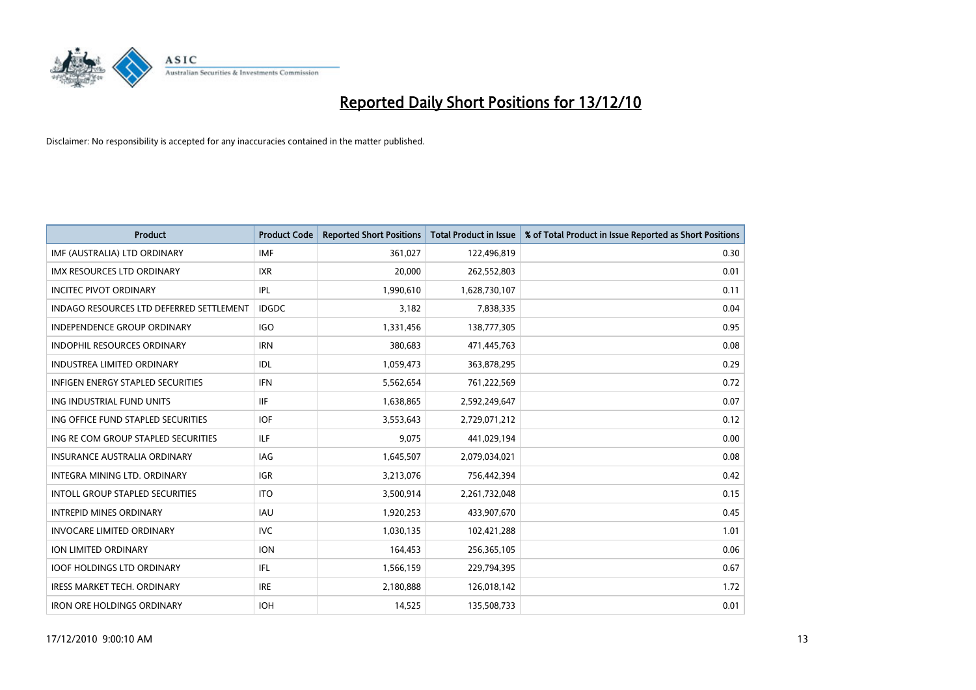

| <b>Product</b>                                  | <b>Product Code</b> | <b>Reported Short Positions</b> | <b>Total Product in Issue</b> | % of Total Product in Issue Reported as Short Positions |
|-------------------------------------------------|---------------------|---------------------------------|-------------------------------|---------------------------------------------------------|
| IMF (AUSTRALIA) LTD ORDINARY                    | <b>IMF</b>          | 361,027                         | 122,496,819                   | 0.30                                                    |
| IMX RESOURCES LTD ORDINARY                      | <b>IXR</b>          | 20,000                          | 262,552,803                   | 0.01                                                    |
| <b>INCITEC PIVOT ORDINARY</b>                   | IPL                 | 1,990,610                       | 1,628,730,107                 | 0.11                                                    |
| <b>INDAGO RESOURCES LTD DEFERRED SETTLEMENT</b> | <b>IDGDC</b>        | 3,182                           | 7,838,335                     | 0.04                                                    |
| <b>INDEPENDENCE GROUP ORDINARY</b>              | <b>IGO</b>          | 1,331,456                       | 138,777,305                   | 0.95                                                    |
| <b>INDOPHIL RESOURCES ORDINARY</b>              | <b>IRN</b>          | 380,683                         | 471,445,763                   | 0.08                                                    |
| <b>INDUSTREA LIMITED ORDINARY</b>               | IDL                 | 1,059,473                       | 363,878,295                   | 0.29                                                    |
| <b>INFIGEN ENERGY STAPLED SECURITIES</b>        | <b>IFN</b>          | 5,562,654                       | 761,222,569                   | 0.72                                                    |
| ING INDUSTRIAL FUND UNITS                       | <b>IIF</b>          | 1,638,865                       | 2,592,249,647                 | 0.07                                                    |
| ING OFFICE FUND STAPLED SECURITIES              | <b>IOF</b>          | 3,553,643                       | 2,729,071,212                 | 0.12                                                    |
| ING RE COM GROUP STAPLED SECURITIES             | ILF.                | 9,075                           | 441,029,194                   | 0.00                                                    |
| <b>INSURANCE AUSTRALIA ORDINARY</b>             | IAG                 | 1,645,507                       | 2,079,034,021                 | 0.08                                                    |
| INTEGRA MINING LTD. ORDINARY                    | <b>IGR</b>          | 3,213,076                       | 756,442,394                   | 0.42                                                    |
| <b>INTOLL GROUP STAPLED SECURITIES</b>          | <b>ITO</b>          | 3,500,914                       | 2,261,732,048                 | 0.15                                                    |
| <b>INTREPID MINES ORDINARY</b>                  | <b>IAU</b>          | 1,920,253                       | 433,907,670                   | 0.45                                                    |
| <b>INVOCARE LIMITED ORDINARY</b>                | <b>IVC</b>          | 1,030,135                       | 102,421,288                   | 1.01                                                    |
| ION LIMITED ORDINARY                            | <b>ION</b>          | 164,453                         | 256,365,105                   | 0.06                                                    |
| <b>IOOF HOLDINGS LTD ORDINARY</b>               | IFL                 | 1,566,159                       | 229,794,395                   | 0.67                                                    |
| <b>IRESS MARKET TECH. ORDINARY</b>              | <b>IRE</b>          | 2,180,888                       | 126,018,142                   | 1.72                                                    |
| <b>IRON ORE HOLDINGS ORDINARY</b>               | <b>IOH</b>          | 14.525                          | 135,508,733                   | 0.01                                                    |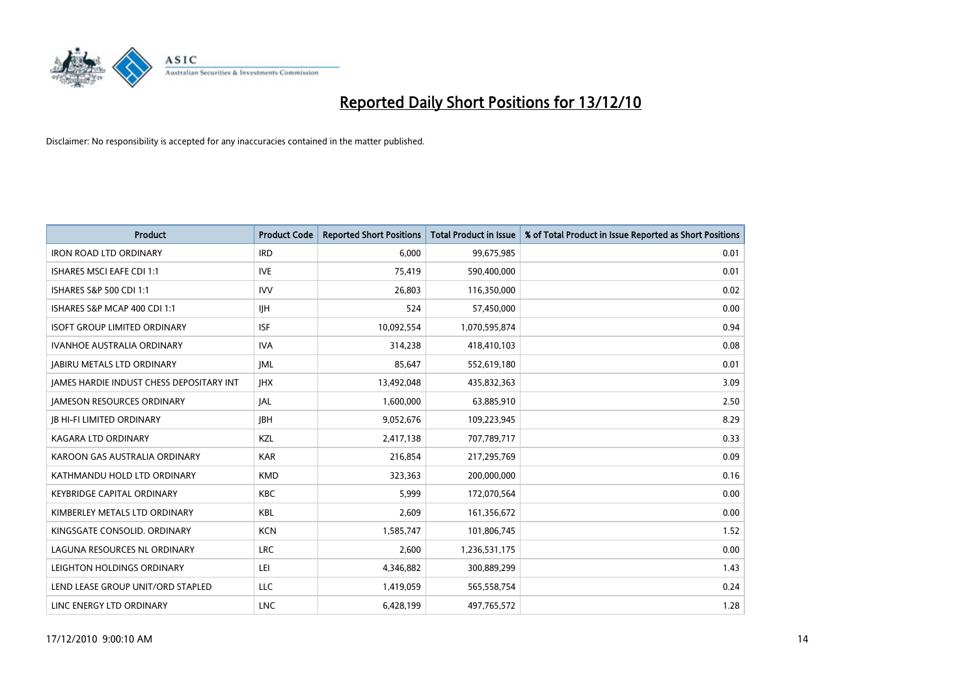

| Product                                         | <b>Product Code</b> | <b>Reported Short Positions</b> | <b>Total Product in Issue</b> | % of Total Product in Issue Reported as Short Positions |
|-------------------------------------------------|---------------------|---------------------------------|-------------------------------|---------------------------------------------------------|
| <b>IRON ROAD LTD ORDINARY</b>                   | <b>IRD</b>          | 6,000                           | 99,675,985                    | 0.01                                                    |
| ISHARES MSCI EAFE CDI 1:1                       | <b>IVE</b>          | 75,419                          | 590,400,000                   | 0.01                                                    |
| ISHARES S&P 500 CDI 1:1                         | <b>IVV</b>          | 26,803                          | 116,350,000                   | 0.02                                                    |
| ISHARES S&P MCAP 400 CDI 1:1                    | <b>IJH</b>          | 524                             | 57,450,000                    | 0.00                                                    |
| <b>ISOFT GROUP LIMITED ORDINARY</b>             | <b>ISF</b>          | 10,092,554                      | 1,070,595,874                 | 0.94                                                    |
| <b>IVANHOE AUSTRALIA ORDINARY</b>               | <b>IVA</b>          | 314,238                         | 418,410,103                   | 0.08                                                    |
| <b>JABIRU METALS LTD ORDINARY</b>               | <b>IML</b>          | 85,647                          | 552,619,180                   | 0.01                                                    |
| <b>JAMES HARDIE INDUST CHESS DEPOSITARY INT</b> | <b>IHX</b>          | 13,492,048                      | 435,832,363                   | 3.09                                                    |
| <b>JAMESON RESOURCES ORDINARY</b>               | <b>JAL</b>          | 1,600,000                       | 63,885,910                    | 2.50                                                    |
| <b>JB HI-FI LIMITED ORDINARY</b>                | <b>IBH</b>          | 9,052,676                       | 109,223,945                   | 8.29                                                    |
| KAGARA LTD ORDINARY                             | KZL                 | 2,417,138                       | 707,789,717                   | 0.33                                                    |
| KAROON GAS AUSTRALIA ORDINARY                   | <b>KAR</b>          | 216,854                         | 217,295,769                   | 0.09                                                    |
| KATHMANDU HOLD LTD ORDINARY                     | <b>KMD</b>          | 323,363                         | 200,000,000                   | 0.16                                                    |
| <b>KEYBRIDGE CAPITAL ORDINARY</b>               | <b>KBC</b>          | 5,999                           | 172,070,564                   | 0.00                                                    |
| KIMBERLEY METALS LTD ORDINARY                   | <b>KBL</b>          | 2,609                           | 161,356,672                   | 0.00                                                    |
| KINGSGATE CONSOLID. ORDINARY                    | <b>KCN</b>          | 1,585,747                       | 101,806,745                   | 1.52                                                    |
| LAGUNA RESOURCES NL ORDINARY                    | <b>LRC</b>          | 2,600                           | 1,236,531,175                 | 0.00                                                    |
| LEIGHTON HOLDINGS ORDINARY                      | LEI                 | 4,346,882                       | 300,889,299                   | 1.43                                                    |
| LEND LEASE GROUP UNIT/ORD STAPLED               | LLC                 | 1,419,059                       | 565,558,754                   | 0.24                                                    |
| LINC ENERGY LTD ORDINARY                        | <b>LNC</b>          | 6,428,199                       | 497,765,572                   | 1.28                                                    |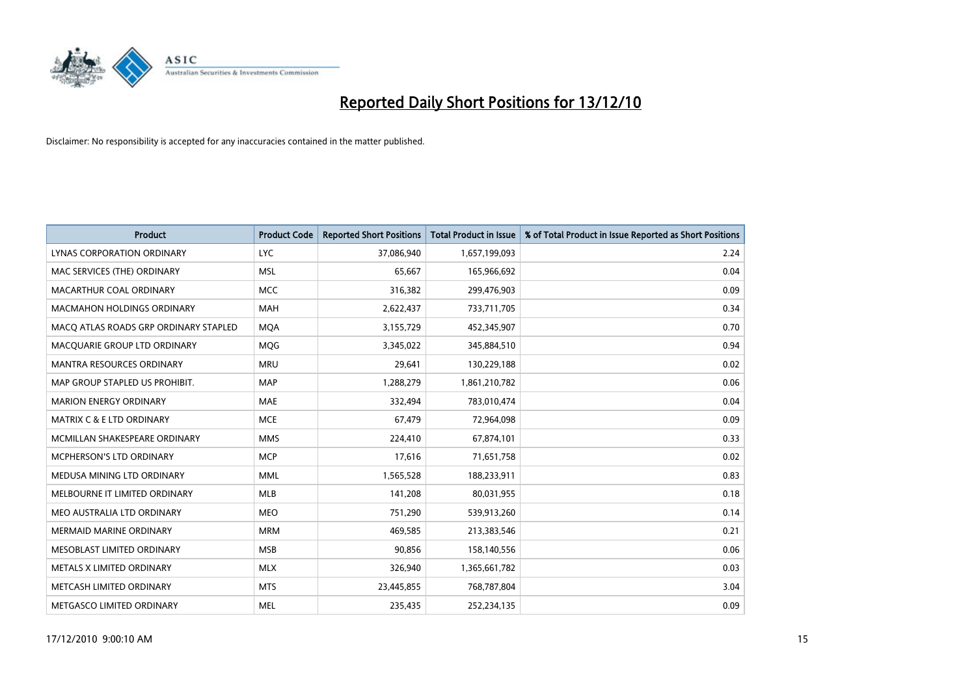

| <b>Product</b>                        | <b>Product Code</b> | <b>Reported Short Positions</b> | Total Product in Issue | % of Total Product in Issue Reported as Short Positions |
|---------------------------------------|---------------------|---------------------------------|------------------------|---------------------------------------------------------|
| LYNAS CORPORATION ORDINARY            | <b>LYC</b>          | 37,086,940                      | 1,657,199,093          | 2.24                                                    |
| MAC SERVICES (THE) ORDINARY           | <b>MSL</b>          | 65,667                          | 165,966,692            | 0.04                                                    |
| MACARTHUR COAL ORDINARY               | <b>MCC</b>          | 316,382                         | 299,476,903            | 0.09                                                    |
| MACMAHON HOLDINGS ORDINARY            | MAH                 | 2,622,437                       | 733,711,705            | 0.34                                                    |
| MACO ATLAS ROADS GRP ORDINARY STAPLED | <b>MOA</b>          | 3,155,729                       | 452,345,907            | 0.70                                                    |
| MACQUARIE GROUP LTD ORDINARY          | <b>MQG</b>          | 3,345,022                       | 345,884,510            | 0.94                                                    |
| <b>MANTRA RESOURCES ORDINARY</b>      | <b>MRU</b>          | 29,641                          | 130,229,188            | 0.02                                                    |
| MAP GROUP STAPLED US PROHIBIT.        | <b>MAP</b>          | 1,288,279                       | 1,861,210,782          | 0.06                                                    |
| <b>MARION ENERGY ORDINARY</b>         | <b>MAE</b>          | 332,494                         | 783,010,474            | 0.04                                                    |
| <b>MATRIX C &amp; E LTD ORDINARY</b>  | <b>MCE</b>          | 67,479                          | 72,964,098             | 0.09                                                    |
| MCMILLAN SHAKESPEARE ORDINARY         | <b>MMS</b>          | 224,410                         | 67,874,101             | 0.33                                                    |
| MCPHERSON'S LTD ORDINARY              | <b>MCP</b>          | 17,616                          | 71,651,758             | 0.02                                                    |
| MEDUSA MINING LTD ORDINARY            | <b>MML</b>          | 1,565,528                       | 188,233,911            | 0.83                                                    |
| MELBOURNE IT LIMITED ORDINARY         | <b>MLB</b>          | 141,208                         | 80,031,955             | 0.18                                                    |
| MEO AUSTRALIA LTD ORDINARY            | <b>MEO</b>          | 751,290                         | 539,913,260            | 0.14                                                    |
| <b>MERMAID MARINE ORDINARY</b>        | <b>MRM</b>          | 469,585                         | 213,383,546            | 0.21                                                    |
| MESOBLAST LIMITED ORDINARY            | <b>MSB</b>          | 90,856                          | 158,140,556            | 0.06                                                    |
| METALS X LIMITED ORDINARY             | <b>MLX</b>          | 326,940                         | 1,365,661,782          | 0.03                                                    |
| METCASH LIMITED ORDINARY              | <b>MTS</b>          | 23,445,855                      | 768,787,804            | 3.04                                                    |
| METGASCO LIMITED ORDINARY             | <b>MEL</b>          | 235.435                         | 252,234,135            | 0.09                                                    |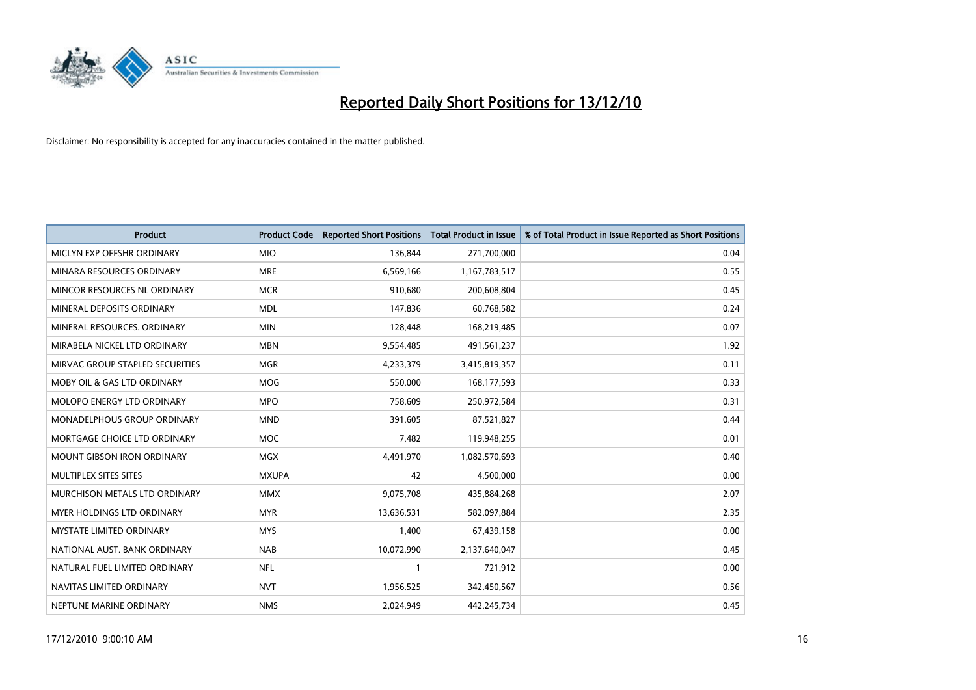

| Product                                | <b>Product Code</b> | <b>Reported Short Positions</b> | <b>Total Product in Issue</b> | % of Total Product in Issue Reported as Short Positions |
|----------------------------------------|---------------------|---------------------------------|-------------------------------|---------------------------------------------------------|
| MICLYN EXP OFFSHR ORDINARY             | <b>MIO</b>          | 136,844                         | 271,700,000                   | 0.04                                                    |
| MINARA RESOURCES ORDINARY              | <b>MRE</b>          | 6,569,166                       | 1,167,783,517                 | 0.55                                                    |
| MINCOR RESOURCES NL ORDINARY           | <b>MCR</b>          | 910,680                         | 200,608,804                   | 0.45                                                    |
| MINERAL DEPOSITS ORDINARY              | <b>MDL</b>          | 147,836                         | 60,768,582                    | 0.24                                                    |
| MINERAL RESOURCES, ORDINARY            | <b>MIN</b>          | 128,448                         | 168,219,485                   | 0.07                                                    |
| MIRABELA NICKEL LTD ORDINARY           | <b>MBN</b>          | 9,554,485                       | 491,561,237                   | 1.92                                                    |
| MIRVAC GROUP STAPLED SECURITIES        | <b>MGR</b>          | 4,233,379                       | 3,415,819,357                 | 0.11                                                    |
| <b>MOBY OIL &amp; GAS LTD ORDINARY</b> | <b>MOG</b>          | 550,000                         | 168,177,593                   | 0.33                                                    |
| MOLOPO ENERGY LTD ORDINARY             | <b>MPO</b>          | 758,609                         | 250,972,584                   | 0.31                                                    |
| MONADELPHOUS GROUP ORDINARY            | <b>MND</b>          | 391,605                         | 87,521,827                    | 0.44                                                    |
| MORTGAGE CHOICE LTD ORDINARY           | <b>MOC</b>          | 7,482                           | 119,948,255                   | 0.01                                                    |
| <b>MOUNT GIBSON IRON ORDINARY</b>      | <b>MGX</b>          | 4,491,970                       | 1,082,570,693                 | 0.40                                                    |
| MULTIPLEX SITES SITES                  | <b>MXUPA</b>        | 42                              | 4,500,000                     | 0.00                                                    |
| MURCHISON METALS LTD ORDINARY          | <b>MMX</b>          | 9,075,708                       | 435,884,268                   | 2.07                                                    |
| MYER HOLDINGS LTD ORDINARY             | <b>MYR</b>          | 13,636,531                      | 582,097,884                   | 2.35                                                    |
| MYSTATE LIMITED ORDINARY               | <b>MYS</b>          | 1,400                           | 67,439,158                    | 0.00                                                    |
| NATIONAL AUST. BANK ORDINARY           | <b>NAB</b>          | 10,072,990                      | 2,137,640,047                 | 0.45                                                    |
| NATURAL FUEL LIMITED ORDINARY          | <b>NFL</b>          |                                 | 721,912                       | 0.00                                                    |
| NAVITAS LIMITED ORDINARY               | <b>NVT</b>          | 1,956,525                       | 342,450,567                   | 0.56                                                    |
| NEPTUNE MARINE ORDINARY                | <b>NMS</b>          | 2,024,949                       | 442,245,734                   | 0.45                                                    |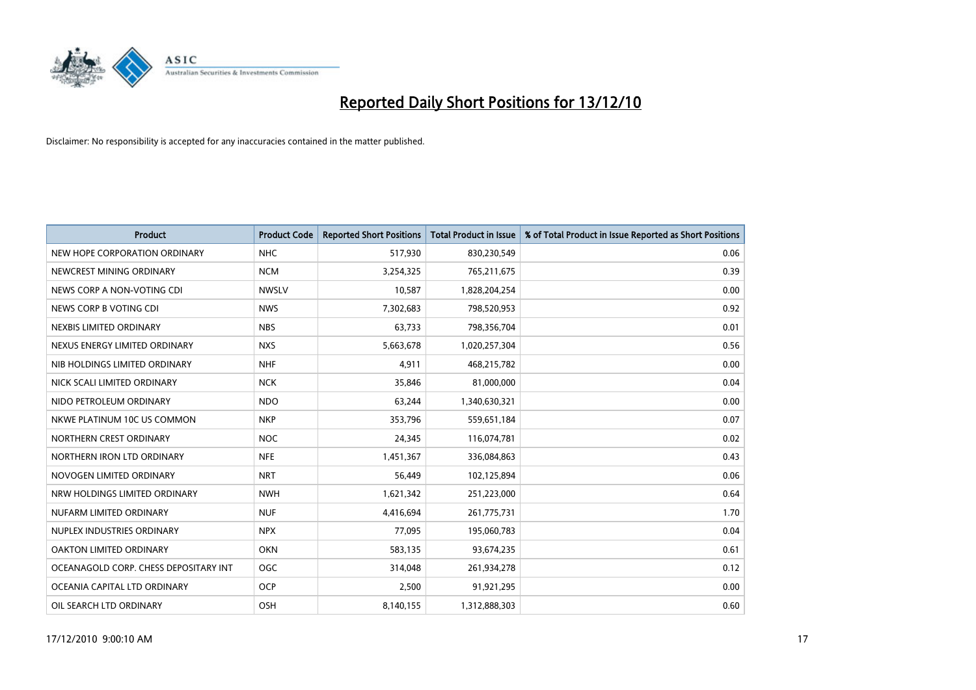

| <b>Product</b>                        | <b>Product Code</b> | <b>Reported Short Positions</b> | Total Product in Issue | % of Total Product in Issue Reported as Short Positions |
|---------------------------------------|---------------------|---------------------------------|------------------------|---------------------------------------------------------|
| NEW HOPE CORPORATION ORDINARY         | <b>NHC</b>          | 517,930                         | 830,230,549            | 0.06                                                    |
| NEWCREST MINING ORDINARY              | <b>NCM</b>          | 3,254,325                       | 765,211,675            | 0.39                                                    |
| NEWS CORP A NON-VOTING CDI            | <b>NWSLV</b>        | 10,587                          | 1,828,204,254          | 0.00                                                    |
| NEWS CORP B VOTING CDI                | <b>NWS</b>          | 7,302,683                       | 798,520,953            | 0.92                                                    |
| NEXBIS LIMITED ORDINARY               | <b>NBS</b>          | 63,733                          | 798,356,704            | 0.01                                                    |
| NEXUS ENERGY LIMITED ORDINARY         | <b>NXS</b>          | 5,663,678                       | 1,020,257,304          | 0.56                                                    |
| NIB HOLDINGS LIMITED ORDINARY         | <b>NHF</b>          | 4,911                           | 468,215,782            | 0.00                                                    |
| NICK SCALI LIMITED ORDINARY           | <b>NCK</b>          | 35,846                          | 81,000,000             | 0.04                                                    |
| NIDO PETROLEUM ORDINARY               | <b>NDO</b>          | 63,244                          | 1,340,630,321          | 0.00                                                    |
| NKWE PLATINUM 10C US COMMON           | <b>NKP</b>          | 353,796                         | 559,651,184            | 0.07                                                    |
| NORTHERN CREST ORDINARY               | <b>NOC</b>          | 24,345                          | 116,074,781            | 0.02                                                    |
| NORTHERN IRON LTD ORDINARY            | <b>NFE</b>          | 1,451,367                       | 336,084,863            | 0.43                                                    |
| NOVOGEN LIMITED ORDINARY              | <b>NRT</b>          | 56,449                          | 102,125,894            | 0.06                                                    |
| NRW HOLDINGS LIMITED ORDINARY         | <b>NWH</b>          | 1,621,342                       | 251,223,000            | 0.64                                                    |
| NUFARM LIMITED ORDINARY               | <b>NUF</b>          | 4,416,694                       | 261,775,731            | 1.70                                                    |
| NUPLEX INDUSTRIES ORDINARY            | <b>NPX</b>          | 77,095                          | 195,060,783            | 0.04                                                    |
| <b>OAKTON LIMITED ORDINARY</b>        | <b>OKN</b>          | 583,135                         | 93,674,235             | 0.61                                                    |
| OCEANAGOLD CORP. CHESS DEPOSITARY INT | <b>OGC</b>          | 314,048                         | 261,934,278            | 0.12                                                    |
| OCEANIA CAPITAL LTD ORDINARY          | <b>OCP</b>          | 2,500                           | 91,921,295             | 0.00                                                    |
| OIL SEARCH LTD ORDINARY               | <b>OSH</b>          | 8,140,155                       | 1,312,888,303          | 0.60                                                    |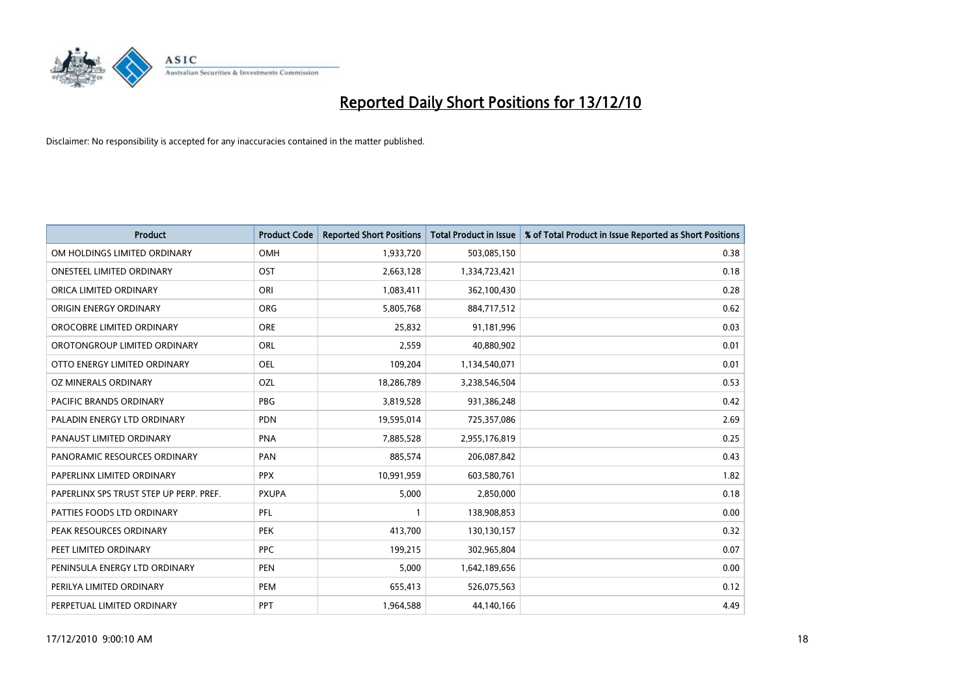

| Product                                 | <b>Product Code</b> | <b>Reported Short Positions</b> | Total Product in Issue | % of Total Product in Issue Reported as Short Positions |
|-----------------------------------------|---------------------|---------------------------------|------------------------|---------------------------------------------------------|
| OM HOLDINGS LIMITED ORDINARY            | OMH                 | 1,933,720                       | 503,085,150            | 0.38                                                    |
| <b>ONESTEEL LIMITED ORDINARY</b>        | OST                 | 2,663,128                       | 1,334,723,421          | 0.18                                                    |
| ORICA LIMITED ORDINARY                  | ORI                 | 1,083,411                       | 362,100,430            | 0.28                                                    |
| ORIGIN ENERGY ORDINARY                  | <b>ORG</b>          | 5,805,768                       | 884,717,512            | 0.62                                                    |
| OROCOBRE LIMITED ORDINARY               | <b>ORE</b>          | 25,832                          | 91,181,996             | 0.03                                                    |
| OROTONGROUP LIMITED ORDINARY            | <b>ORL</b>          | 2,559                           | 40,880,902             | 0.01                                                    |
| OTTO ENERGY LIMITED ORDINARY            | <b>OEL</b>          | 109,204                         | 1,134,540,071          | 0.01                                                    |
| OZ MINERALS ORDINARY                    | OZL                 | 18,286,789                      | 3,238,546,504          | 0.53                                                    |
| <b>PACIFIC BRANDS ORDINARY</b>          | <b>PBG</b>          | 3,819,528                       | 931,386,248            | 0.42                                                    |
| PALADIN ENERGY LTD ORDINARY             | <b>PDN</b>          | 19,595,014                      | 725,357,086            | 2.69                                                    |
| PANAUST LIMITED ORDINARY                | <b>PNA</b>          | 7,885,528                       | 2,955,176,819          | 0.25                                                    |
| PANORAMIC RESOURCES ORDINARY            | PAN                 | 885,574                         | 206,087,842            | 0.43                                                    |
| PAPERLINX LIMITED ORDINARY              | <b>PPX</b>          | 10,991,959                      | 603,580,761            | 1.82                                                    |
| PAPERLINX SPS TRUST STEP UP PERP. PREF. | <b>PXUPA</b>        | 5,000                           | 2,850,000              | 0.18                                                    |
| PATTIES FOODS LTD ORDINARY              | PFL                 |                                 | 138,908,853            | 0.00                                                    |
| PEAK RESOURCES ORDINARY                 | <b>PEK</b>          | 413,700                         | 130,130,157            | 0.32                                                    |
| PEET LIMITED ORDINARY                   | <b>PPC</b>          | 199,215                         | 302,965,804            | 0.07                                                    |
| PENINSULA ENERGY LTD ORDINARY           | <b>PEN</b>          | 5,000                           | 1,642,189,656          | 0.00                                                    |
| PERILYA LIMITED ORDINARY                | PEM                 | 655,413                         | 526,075,563            | 0.12                                                    |
| PERPETUAL LIMITED ORDINARY              | PPT                 | 1,964,588                       | 44,140,166             | 4.49                                                    |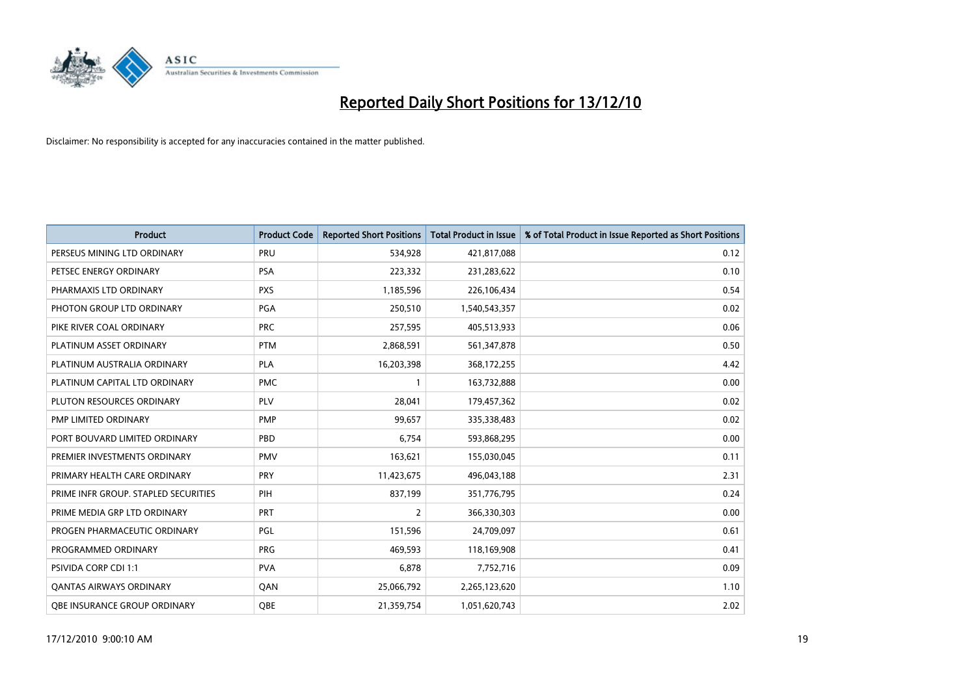

| <b>Product</b>                       | <b>Product Code</b> | <b>Reported Short Positions</b> | <b>Total Product in Issue</b> | % of Total Product in Issue Reported as Short Positions |
|--------------------------------------|---------------------|---------------------------------|-------------------------------|---------------------------------------------------------|
| PERSEUS MINING LTD ORDINARY          | PRU                 | 534,928                         | 421,817,088                   | 0.12                                                    |
| PETSEC ENERGY ORDINARY               | <b>PSA</b>          | 223,332                         | 231,283,622                   | 0.10                                                    |
| PHARMAXIS LTD ORDINARY               | <b>PXS</b>          | 1,185,596                       | 226,106,434                   | 0.54                                                    |
| PHOTON GROUP LTD ORDINARY            | PGA                 | 250,510                         | 1,540,543,357                 | 0.02                                                    |
| PIKE RIVER COAL ORDINARY             | <b>PRC</b>          | 257,595                         | 405,513,933                   | 0.06                                                    |
| PLATINUM ASSET ORDINARY              | <b>PTM</b>          | 2,868,591                       | 561,347,878                   | 0.50                                                    |
| PLATINUM AUSTRALIA ORDINARY          | PLA                 | 16,203,398                      | 368,172,255                   | 4.42                                                    |
| PLATINUM CAPITAL LTD ORDINARY        | <b>PMC</b>          | 1                               | 163,732,888                   | 0.00                                                    |
| PLUTON RESOURCES ORDINARY            | <b>PLV</b>          | 28,041                          | 179,457,362                   | 0.02                                                    |
| PMP LIMITED ORDINARY                 | <b>PMP</b>          | 99,657                          | 335,338,483                   | 0.02                                                    |
| PORT BOUVARD LIMITED ORDINARY        | PBD                 | 6,754                           | 593,868,295                   | 0.00                                                    |
| PREMIER INVESTMENTS ORDINARY         | <b>PMV</b>          | 163,621                         | 155,030,045                   | 0.11                                                    |
| PRIMARY HEALTH CARE ORDINARY         | PRY                 | 11,423,675                      | 496,043,188                   | 2.31                                                    |
| PRIME INFR GROUP. STAPLED SECURITIES | PIH                 | 837,199                         | 351,776,795                   | 0.24                                                    |
| PRIME MEDIA GRP LTD ORDINARY         | <b>PRT</b>          | $\overline{2}$                  | 366,330,303                   | 0.00                                                    |
| PROGEN PHARMACEUTIC ORDINARY         | PGL                 | 151,596                         | 24,709,097                    | 0.61                                                    |
| PROGRAMMED ORDINARY                  | <b>PRG</b>          | 469,593                         | 118,169,908                   | 0.41                                                    |
| PSIVIDA CORP CDI 1:1                 | <b>PVA</b>          | 6,878                           | 7,752,716                     | 0.09                                                    |
| OANTAS AIRWAYS ORDINARY              | QAN                 | 25,066,792                      | 2,265,123,620                 | 1.10                                                    |
| OBE INSURANCE GROUP ORDINARY         | <b>OBE</b>          | 21,359,754                      | 1,051,620,743                 | 2.02                                                    |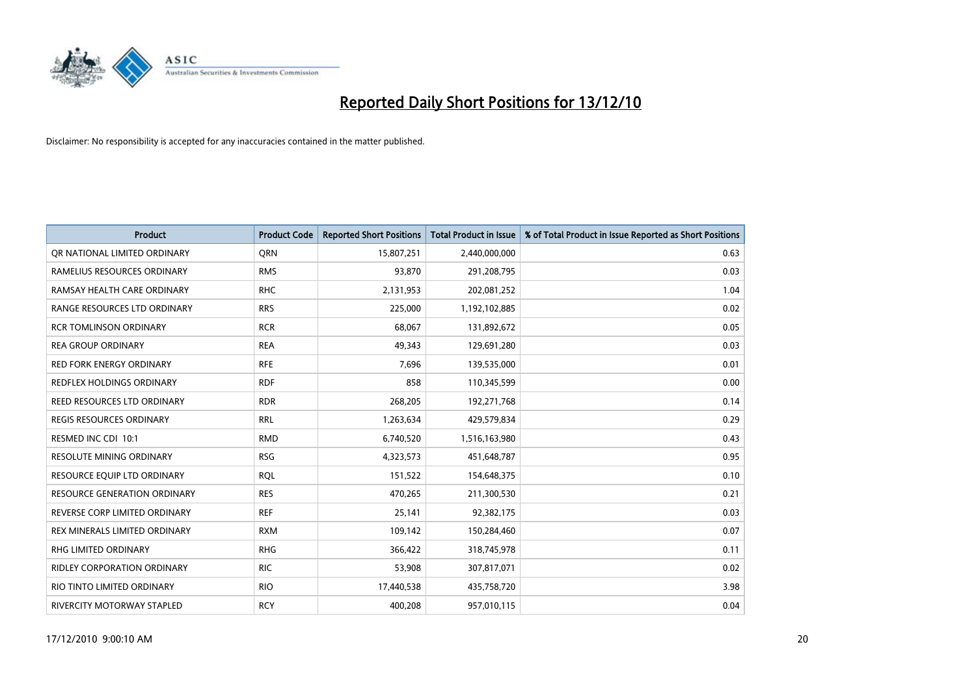

| Product                             | <b>Product Code</b> | <b>Reported Short Positions</b> | Total Product in Issue | % of Total Product in Issue Reported as Short Positions |
|-------------------------------------|---------------------|---------------------------------|------------------------|---------------------------------------------------------|
| OR NATIONAL LIMITED ORDINARY        | <b>ORN</b>          | 15,807,251                      | 2,440,000,000          | 0.63                                                    |
| RAMELIUS RESOURCES ORDINARY         | <b>RMS</b>          | 93,870                          | 291,208,795            | 0.03                                                    |
| RAMSAY HEALTH CARE ORDINARY         | <b>RHC</b>          | 2,131,953                       | 202,081,252            | 1.04                                                    |
| RANGE RESOURCES LTD ORDINARY        | <b>RRS</b>          | 225,000                         | 1,192,102,885          | 0.02                                                    |
| <b>RCR TOMLINSON ORDINARY</b>       | <b>RCR</b>          | 68,067                          | 131,892,672            | 0.05                                                    |
| <b>REA GROUP ORDINARY</b>           | <b>REA</b>          | 49.343                          | 129,691,280            | 0.03                                                    |
| <b>RED FORK ENERGY ORDINARY</b>     | <b>RFE</b>          | 7,696                           | 139,535,000            | 0.01                                                    |
| <b>REDFLEX HOLDINGS ORDINARY</b>    | <b>RDF</b>          | 858                             | 110,345,599            | 0.00                                                    |
| REED RESOURCES LTD ORDINARY         | <b>RDR</b>          | 268,205                         | 192,271,768            | 0.14                                                    |
| <b>REGIS RESOURCES ORDINARY</b>     | <b>RRL</b>          | 1,263,634                       | 429,579,834            | 0.29                                                    |
| RESMED INC CDI 10:1                 | <b>RMD</b>          | 6,740,520                       | 1,516,163,980          | 0.43                                                    |
| <b>RESOLUTE MINING ORDINARY</b>     | <b>RSG</b>          | 4,323,573                       | 451,648,787            | 0.95                                                    |
| RESOURCE EQUIP LTD ORDINARY         | <b>RQL</b>          | 151,522                         | 154,648,375            | 0.10                                                    |
| <b>RESOURCE GENERATION ORDINARY</b> | <b>RES</b>          | 470,265                         | 211,300,530            | 0.21                                                    |
| REVERSE CORP LIMITED ORDINARY       | <b>REF</b>          | 25,141                          | 92,382,175             | 0.03                                                    |
| REX MINERALS LIMITED ORDINARY       | <b>RXM</b>          | 109,142                         | 150,284,460            | 0.07                                                    |
| <b>RHG LIMITED ORDINARY</b>         | <b>RHG</b>          | 366,422                         | 318,745,978            | 0.11                                                    |
| RIDLEY CORPORATION ORDINARY         | <b>RIC</b>          | 53,908                          | 307,817,071            | 0.02                                                    |
| RIO TINTO LIMITED ORDINARY          | <b>RIO</b>          | 17,440,538                      | 435,758,720            | 3.98                                                    |
| RIVERCITY MOTORWAY STAPLED          | <b>RCY</b>          | 400,208                         | 957,010,115            | 0.04                                                    |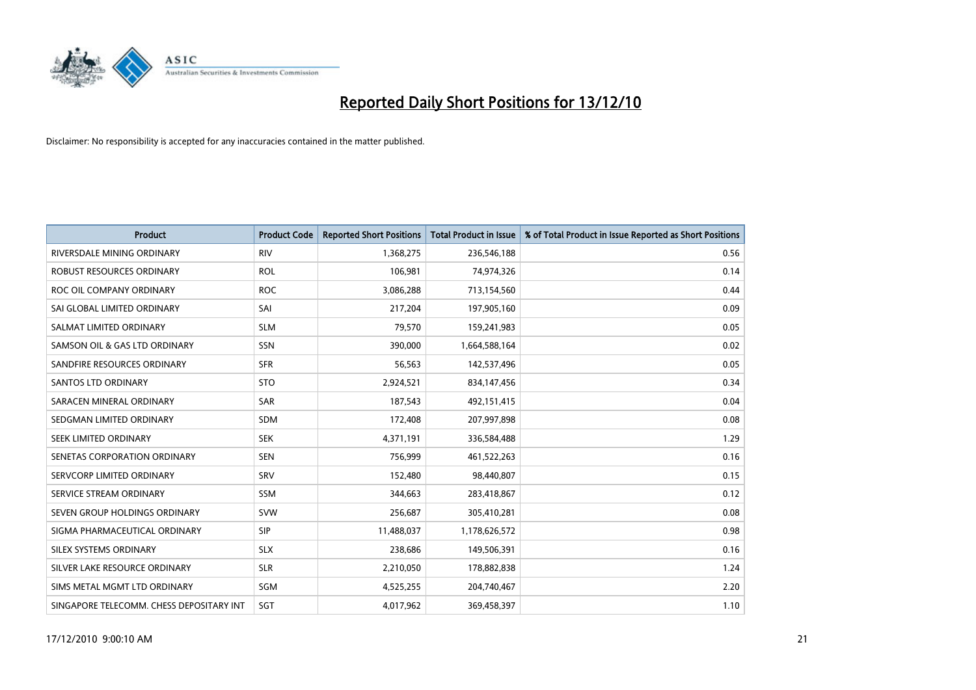

| <b>Product</b>                           | <b>Product Code</b> | <b>Reported Short Positions</b> | <b>Total Product in Issue</b> | % of Total Product in Issue Reported as Short Positions |
|------------------------------------------|---------------------|---------------------------------|-------------------------------|---------------------------------------------------------|
| RIVERSDALE MINING ORDINARY               | <b>RIV</b>          | 1,368,275                       | 236,546,188                   | 0.56                                                    |
| ROBUST RESOURCES ORDINARY                | <b>ROL</b>          | 106,981                         | 74,974,326                    | 0.14                                                    |
| ROC OIL COMPANY ORDINARY                 | <b>ROC</b>          | 3,086,288                       | 713,154,560                   | 0.44                                                    |
| SAI GLOBAL LIMITED ORDINARY              | SAI                 | 217,204                         | 197,905,160                   | 0.09                                                    |
| SALMAT LIMITED ORDINARY                  | <b>SLM</b>          | 79,570                          | 159,241,983                   | 0.05                                                    |
| SAMSON OIL & GAS LTD ORDINARY            | SSN                 | 390,000                         | 1,664,588,164                 | 0.02                                                    |
| SANDFIRE RESOURCES ORDINARY              | <b>SFR</b>          | 56,563                          | 142,537,496                   | 0.05                                                    |
| <b>SANTOS LTD ORDINARY</b>               | <b>STO</b>          | 2,924,521                       | 834,147,456                   | 0.34                                                    |
| SARACEN MINERAL ORDINARY                 | SAR                 | 187,543                         | 492,151,415                   | 0.04                                                    |
| SEDGMAN LIMITED ORDINARY                 | <b>SDM</b>          | 172,408                         | 207,997,898                   | 0.08                                                    |
| SEEK LIMITED ORDINARY                    | <b>SEK</b>          | 4,371,191                       | 336,584,488                   | 1.29                                                    |
| SENETAS CORPORATION ORDINARY             | <b>SEN</b>          | 756,999                         | 461,522,263                   | 0.16                                                    |
| SERVCORP LIMITED ORDINARY                | SRV                 | 152,480                         | 98,440,807                    | 0.15                                                    |
| SERVICE STREAM ORDINARY                  | <b>SSM</b>          | 344,663                         | 283,418,867                   | 0.12                                                    |
| SEVEN GROUP HOLDINGS ORDINARY            | <b>SVW</b>          | 256,687                         | 305,410,281                   | 0.08                                                    |
| SIGMA PHARMACEUTICAL ORDINARY            | <b>SIP</b>          | 11,488,037                      | 1,178,626,572                 | 0.98                                                    |
| <b>SILEX SYSTEMS ORDINARY</b>            | <b>SLX</b>          | 238,686                         | 149,506,391                   | 0.16                                                    |
| SILVER LAKE RESOURCE ORDINARY            | <b>SLR</b>          | 2,210,050                       | 178,882,838                   | 1.24                                                    |
| SIMS METAL MGMT LTD ORDINARY             | SGM                 | 4,525,255                       | 204,740,467                   | 2.20                                                    |
| SINGAPORE TELECOMM. CHESS DEPOSITARY INT | SGT                 | 4,017,962                       | 369,458,397                   | 1.10                                                    |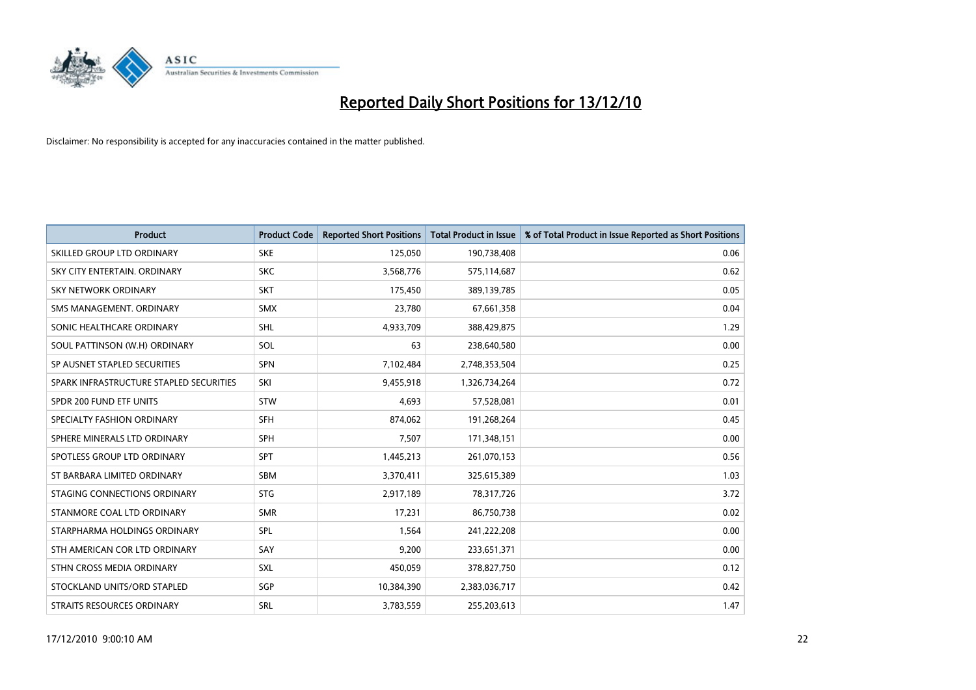

| <b>Product</b>                          | <b>Product Code</b> | <b>Reported Short Positions</b> | Total Product in Issue | % of Total Product in Issue Reported as Short Positions |
|-----------------------------------------|---------------------|---------------------------------|------------------------|---------------------------------------------------------|
| SKILLED GROUP LTD ORDINARY              | <b>SKE</b>          | 125,050                         | 190,738,408            | 0.06                                                    |
| SKY CITY ENTERTAIN. ORDINARY            | <b>SKC</b>          | 3,568,776                       | 575,114,687            | 0.62                                                    |
| <b>SKY NETWORK ORDINARY</b>             | <b>SKT</b>          | 175,450                         | 389,139,785            | 0.05                                                    |
| SMS MANAGEMENT. ORDINARY                | <b>SMX</b>          | 23,780                          | 67,661,358             | 0.04                                                    |
| SONIC HEALTHCARE ORDINARY               | <b>SHL</b>          | 4,933,709                       | 388,429,875            | 1.29                                                    |
| SOUL PATTINSON (W.H) ORDINARY           | SOL                 | 63                              | 238,640,580            | 0.00                                                    |
| SP AUSNET STAPLED SECURITIES            | <b>SPN</b>          | 7,102,484                       | 2,748,353,504          | 0.25                                                    |
| SPARK INFRASTRUCTURE STAPLED SECURITIES | SKI                 | 9,455,918                       | 1,326,734,264          | 0.72                                                    |
| SPDR 200 FUND ETF UNITS                 | <b>STW</b>          | 4,693                           | 57,528,081             | 0.01                                                    |
| SPECIALTY FASHION ORDINARY              | <b>SFH</b>          | 874,062                         | 191,268,264            | 0.45                                                    |
| SPHERE MINERALS LTD ORDINARY            | <b>SPH</b>          | 7,507                           | 171,348,151            | 0.00                                                    |
| SPOTLESS GROUP LTD ORDINARY             | <b>SPT</b>          | 1,445,213                       | 261,070,153            | 0.56                                                    |
| ST BARBARA LIMITED ORDINARY             | <b>SBM</b>          | 3,370,411                       | 325,615,389            | 1.03                                                    |
| STAGING CONNECTIONS ORDINARY            | <b>STG</b>          | 2,917,189                       | 78,317,726             | 3.72                                                    |
| STANMORE COAL LTD ORDINARY              | <b>SMR</b>          | 17,231                          | 86,750,738             | 0.02                                                    |
| STARPHARMA HOLDINGS ORDINARY            | SPL                 | 1,564                           | 241,222,208            | 0.00                                                    |
| STH AMERICAN COR LTD ORDINARY           | SAY                 | 9,200                           | 233,651,371            | 0.00                                                    |
| STHN CROSS MEDIA ORDINARY               | <b>SXL</b>          | 450,059                         | 378,827,750            | 0.12                                                    |
| STOCKLAND UNITS/ORD STAPLED             | SGP                 | 10,384,390                      | 2,383,036,717          | 0.42                                                    |
| STRAITS RESOURCES ORDINARY              | <b>SRL</b>          | 3,783,559                       | 255,203,613            | 1.47                                                    |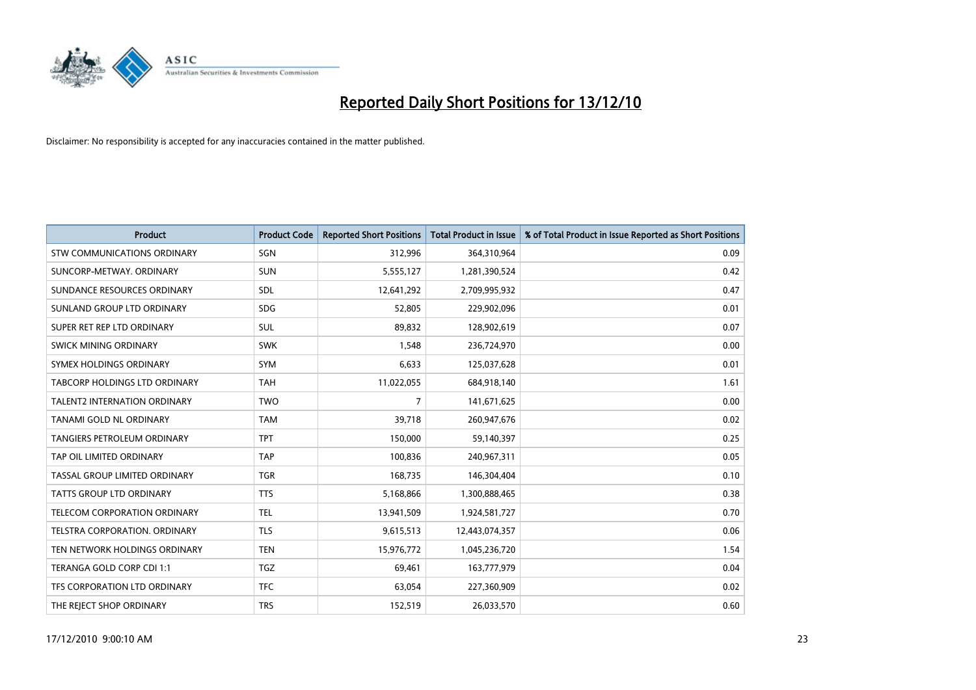

| Product                              | <b>Product Code</b> | <b>Reported Short Positions</b> | Total Product in Issue | % of Total Product in Issue Reported as Short Positions |
|--------------------------------------|---------------------|---------------------------------|------------------------|---------------------------------------------------------|
| <b>STW COMMUNICATIONS ORDINARY</b>   | SGN                 | 312,996                         | 364,310,964            | 0.09                                                    |
| SUNCORP-METWAY, ORDINARY             | <b>SUN</b>          | 5,555,127                       | 1,281,390,524          | 0.42                                                    |
| SUNDANCE RESOURCES ORDINARY          | <b>SDL</b>          | 12,641,292                      | 2,709,995,932          | 0.47                                                    |
| SUNLAND GROUP LTD ORDINARY           | <b>SDG</b>          | 52,805                          | 229,902,096            | 0.01                                                    |
| SUPER RET REP LTD ORDINARY           | <b>SUL</b>          | 89,832                          | 128,902,619            | 0.07                                                    |
| SWICK MINING ORDINARY                | <b>SWK</b>          | 1,548                           | 236,724,970            | 0.00                                                    |
| SYMEX HOLDINGS ORDINARY              | <b>SYM</b>          | 6,633                           | 125,037,628            | 0.01                                                    |
| TABCORP HOLDINGS LTD ORDINARY        | <b>TAH</b>          | 11,022,055                      | 684,918,140            | 1.61                                                    |
| TALENT2 INTERNATION ORDINARY         | <b>TWO</b>          | 7                               | 141,671,625            | 0.00                                                    |
| <b>TANAMI GOLD NL ORDINARY</b>       | <b>TAM</b>          | 39,718                          | 260,947,676            | 0.02                                                    |
| <b>TANGIERS PETROLEUM ORDINARY</b>   | <b>TPT</b>          | 150,000                         | 59,140,397             | 0.25                                                    |
| TAP OIL LIMITED ORDINARY             | <b>TAP</b>          | 100,836                         | 240,967,311            | 0.05                                                    |
| <b>TASSAL GROUP LIMITED ORDINARY</b> | <b>TGR</b>          | 168,735                         | 146,304,404            | 0.10                                                    |
| <b>TATTS GROUP LTD ORDINARY</b>      | <b>TTS</b>          | 5,168,866                       | 1,300,888,465          | 0.38                                                    |
| TELECOM CORPORATION ORDINARY         | <b>TEL</b>          | 13,941,509                      | 1,924,581,727          | 0.70                                                    |
| TELSTRA CORPORATION, ORDINARY        | <b>TLS</b>          | 9,615,513                       | 12,443,074,357         | 0.06                                                    |
| TEN NETWORK HOLDINGS ORDINARY        | <b>TEN</b>          | 15,976,772                      | 1,045,236,720          | 1.54                                                    |
| TERANGA GOLD CORP CDI 1:1            | <b>TGZ</b>          | 69,461                          | 163,777,979            | 0.04                                                    |
| TFS CORPORATION LTD ORDINARY         | <b>TFC</b>          | 63,054                          | 227,360,909            | 0.02                                                    |
| THE REJECT SHOP ORDINARY             | <b>TRS</b>          | 152,519                         | 26,033,570             | 0.60                                                    |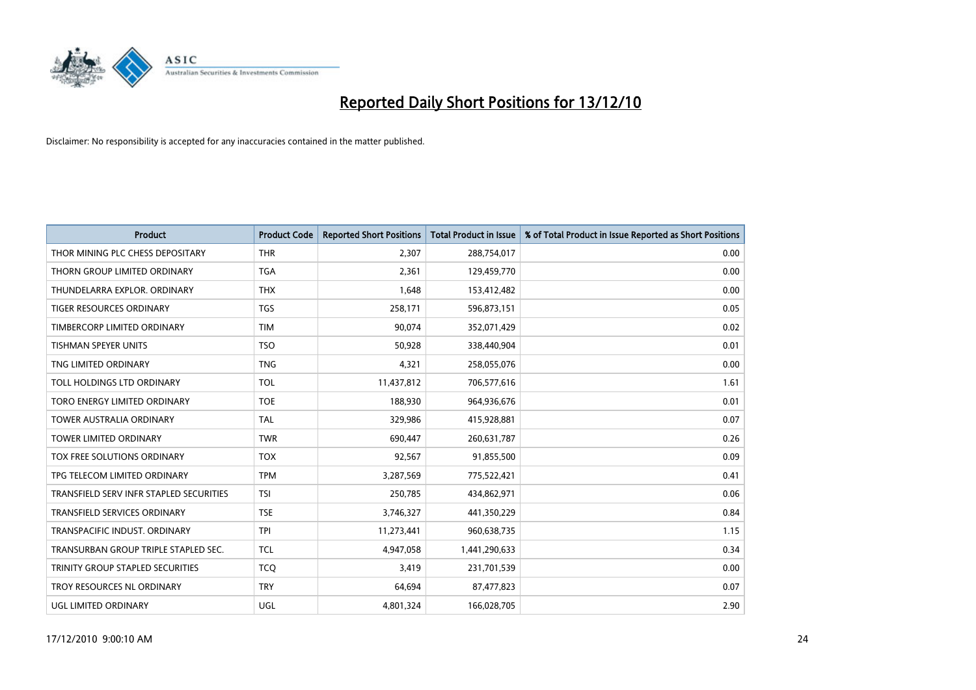

| <b>Product</b>                          | <b>Product Code</b> | <b>Reported Short Positions</b> | <b>Total Product in Issue</b> | % of Total Product in Issue Reported as Short Positions |
|-----------------------------------------|---------------------|---------------------------------|-------------------------------|---------------------------------------------------------|
| THOR MINING PLC CHESS DEPOSITARY        | <b>THR</b>          | 2,307                           | 288,754,017                   | 0.00                                                    |
| THORN GROUP LIMITED ORDINARY            | <b>TGA</b>          | 2,361                           | 129,459,770                   | 0.00                                                    |
| THUNDELARRA EXPLOR, ORDINARY            | <b>THX</b>          | 1,648                           | 153,412,482                   | 0.00                                                    |
| TIGER RESOURCES ORDINARY                | <b>TGS</b>          | 258,171                         | 596,873,151                   | 0.05                                                    |
| TIMBERCORP LIMITED ORDINARY             | <b>TIM</b>          | 90,074                          | 352,071,429                   | 0.02                                                    |
| <b>TISHMAN SPEYER UNITS</b>             | <b>TSO</b>          | 50,928                          | 338,440,904                   | 0.01                                                    |
| TNG LIMITED ORDINARY                    | <b>TNG</b>          | 4,321                           | 258,055,076                   | 0.00                                                    |
| TOLL HOLDINGS LTD ORDINARY              | <b>TOL</b>          | 11,437,812                      | 706,577,616                   | 1.61                                                    |
| TORO ENERGY LIMITED ORDINARY            | <b>TOE</b>          | 188,930                         | 964,936,676                   | 0.01                                                    |
| <b>TOWER AUSTRALIA ORDINARY</b>         | <b>TAL</b>          | 329,986                         | 415,928,881                   | 0.07                                                    |
| TOWER LIMITED ORDINARY                  | <b>TWR</b>          | 690,447                         | 260,631,787                   | 0.26                                                    |
| TOX FREE SOLUTIONS ORDINARY             | <b>TOX</b>          | 92,567                          | 91,855,500                    | 0.09                                                    |
| TPG TELECOM LIMITED ORDINARY            | <b>TPM</b>          | 3,287,569                       | 775,522,421                   | 0.41                                                    |
| TRANSFIELD SERV INFR STAPLED SECURITIES | <b>TSI</b>          | 250,785                         | 434,862,971                   | 0.06                                                    |
| <b>TRANSFIELD SERVICES ORDINARY</b>     | <b>TSE</b>          | 3,746,327                       | 441,350,229                   | 0.84                                                    |
| TRANSPACIFIC INDUST. ORDINARY           | <b>TPI</b>          | 11,273,441                      | 960,638,735                   | 1.15                                                    |
| TRANSURBAN GROUP TRIPLE STAPLED SEC.    | <b>TCL</b>          | 4,947,058                       | 1,441,290,633                 | 0.34                                                    |
| TRINITY GROUP STAPLED SECURITIES        | <b>TCO</b>          | 3,419                           | 231,701,539                   | 0.00                                                    |
| TROY RESOURCES NL ORDINARY              | <b>TRY</b>          | 64,694                          | 87,477,823                    | 0.07                                                    |
| UGL LIMITED ORDINARY                    | <b>UGL</b>          | 4,801,324                       | 166,028,705                   | 2.90                                                    |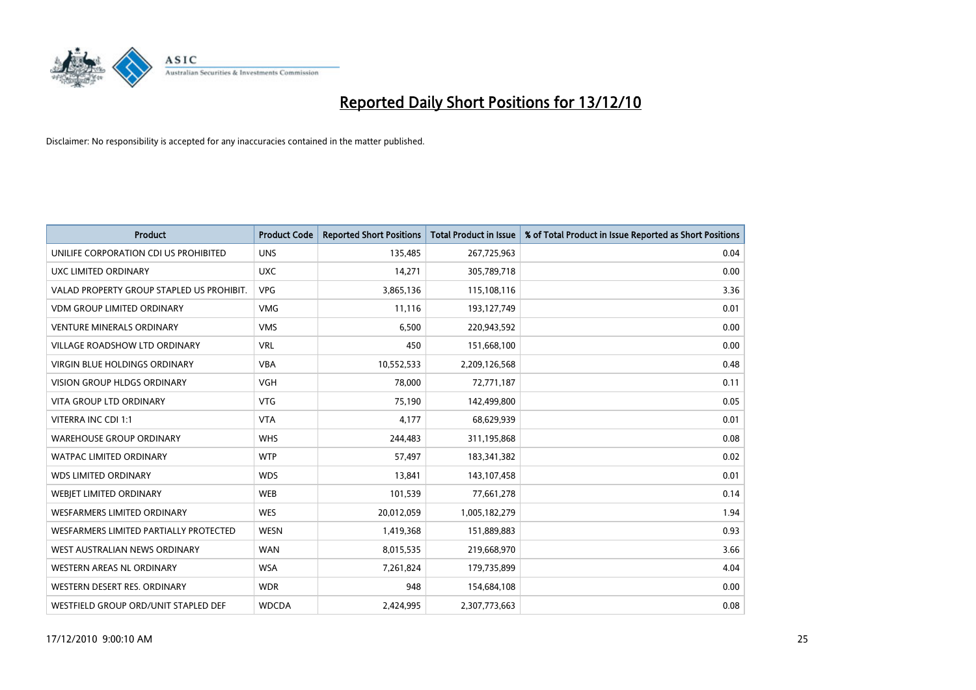

| <b>Product</b>                            | <b>Product Code</b> | <b>Reported Short Positions</b> | Total Product in Issue | % of Total Product in Issue Reported as Short Positions |
|-------------------------------------------|---------------------|---------------------------------|------------------------|---------------------------------------------------------|
| UNILIFE CORPORATION CDI US PROHIBITED     | <b>UNS</b>          | 135,485                         | 267,725,963            | 0.04                                                    |
| UXC LIMITED ORDINARY                      | <b>UXC</b>          | 14,271                          | 305,789,718            | 0.00                                                    |
| VALAD PROPERTY GROUP STAPLED US PROHIBIT. | <b>VPG</b>          | 3,865,136                       | 115,108,116            | 3.36                                                    |
| <b>VDM GROUP LIMITED ORDINARY</b>         | <b>VMG</b>          | 11,116                          | 193,127,749            | 0.01                                                    |
| <b>VENTURE MINERALS ORDINARY</b>          | <b>VMS</b>          | 6,500                           | 220,943,592            | 0.00                                                    |
| <b>VILLAGE ROADSHOW LTD ORDINARY</b>      | <b>VRL</b>          | 450                             | 151,668,100            | 0.00                                                    |
| <b>VIRGIN BLUE HOLDINGS ORDINARY</b>      | <b>VBA</b>          | 10,552,533                      | 2,209,126,568          | 0.48                                                    |
| <b>VISION GROUP HLDGS ORDINARY</b>        | <b>VGH</b>          | 78,000                          | 72,771,187             | 0.11                                                    |
| VITA GROUP LTD ORDINARY                   | <b>VTG</b>          | 75,190                          | 142,499,800            | 0.05                                                    |
| VITERRA INC CDI 1:1                       | <b>VTA</b>          | 4,177                           | 68,629,939             | 0.01                                                    |
| <b>WAREHOUSE GROUP ORDINARY</b>           | <b>WHS</b>          | 244,483                         | 311,195,868            | 0.08                                                    |
| <b>WATPAC LIMITED ORDINARY</b>            | <b>WTP</b>          | 57,497                          | 183,341,382            | 0.02                                                    |
| <b>WDS LIMITED ORDINARY</b>               | <b>WDS</b>          | 13,841                          | 143,107,458            | 0.01                                                    |
| <b>WEBIET LIMITED ORDINARY</b>            | <b>WEB</b>          | 101,539                         | 77,661,278             | 0.14                                                    |
| <b>WESFARMERS LIMITED ORDINARY</b>        | <b>WES</b>          | 20,012,059                      | 1,005,182,279          | 1.94                                                    |
| WESFARMERS LIMITED PARTIALLY PROTECTED    | WESN                | 1,419,368                       | 151,889,883            | 0.93                                                    |
| WEST AUSTRALIAN NEWS ORDINARY             | <b>WAN</b>          | 8,015,535                       | 219,668,970            | 3.66                                                    |
| WESTERN AREAS NL ORDINARY                 | <b>WSA</b>          | 7,261,824                       | 179,735,899            | 4.04                                                    |
| WESTERN DESERT RES. ORDINARY              | <b>WDR</b>          | 948                             | 154,684,108            | 0.00                                                    |
| WESTFIELD GROUP ORD/UNIT STAPLED DEF      | <b>WDCDA</b>        | 2,424,995                       | 2,307,773,663          | 0.08                                                    |